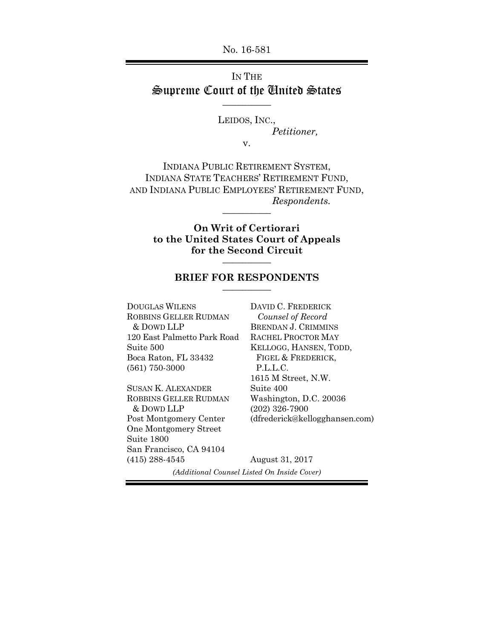No. 16-581

# IN THE Supreme Court of the United States \_\_\_\_\_\_\_\_\_\_

LEIDOS, INC.,

*Petitioner,* 

v.

INDIANA PUBLIC RETIREMENT SYSTEM, INDIANA STATE TEACHERS' RETIREMENT FUND, AND INDIANA PUBLIC EMPLOYEES' RETIREMENT FUND,  $Respondents.$ 

> **On Writ of Certiorari to the United States Court of Appeals for the Second Circuit** \_\_\_\_\_\_\_\_\_\_

### **BRIEF FOR RESPONDENTS** \_\_\_\_\_\_\_\_\_\_

DOUGLAS WILENS ROBBINS GELLER RUDMAN & DOWD LLP 120 East Palmetto Park Road Suite 500 Boca Raton, FL 33432 (561) 750-3000

SUSAN K. ALEXANDER ROBBINS GELLER RUDMAN & DOWD LLP Post Montgomery Center One Montgomery Street Suite 1800 San Francisco, CA 94104 (415) 288-4545

DAVID C. FREDERICK *Counsel of Record*  BRENDAN J. CRIMMINS RACHEL PROCTOR MAY KELLOGG, HANSEN, TODD, FIGEL & FREDERICK, P.L.L.C. 1615 M Street, N.W. Suite 400 Washington, D.C. 20036 (202) 326-7900 (dfrederick@kellogghansen.com)

August 31, 2017 *(Additional Counsel Listed On Inside Cover)*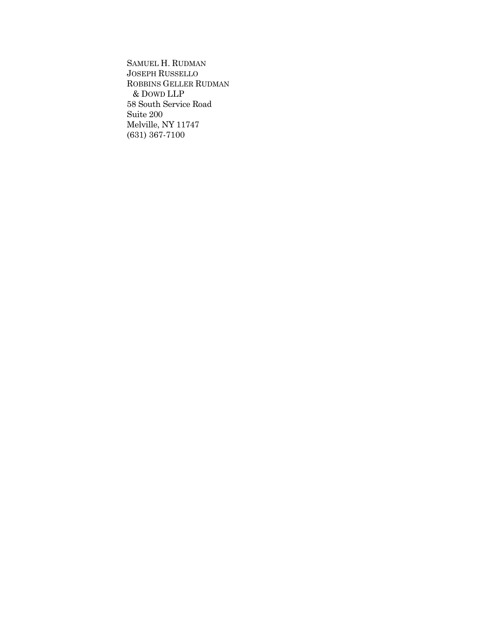SAMUEL H. RUDMAN JOSEPH RUSSELLO ROBBINS GELLER RUDMAN & DOWD LLP 58 South Service Road Suite 200 Melville, NY 11747 (631) 367-7100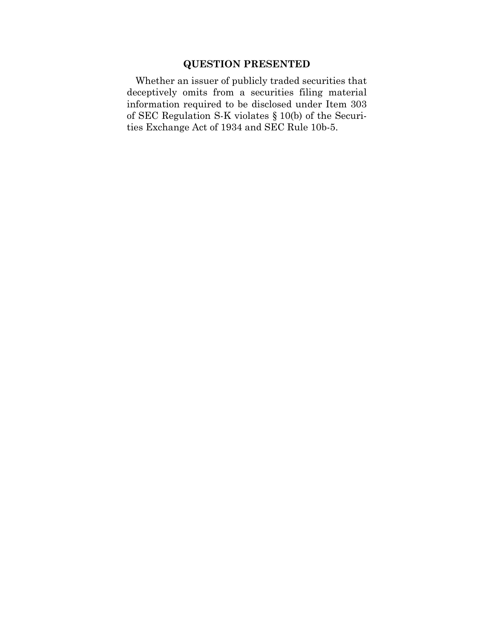## **QUESTION PRESENTED**

Whether an issuer of publicly traded securities that deceptively omits from a securities filing material information required to be disclosed under Item 303 of SEC Regulation S-K violates § 10(b) of the Securities Exchange Act of 1934 and SEC Rule 10b-5.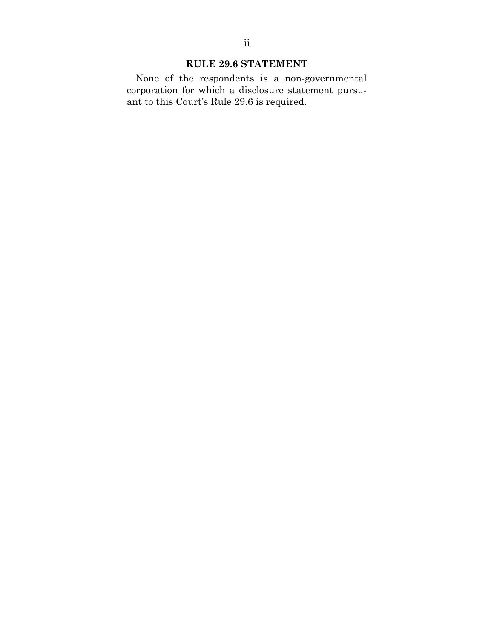## **RULE 29.6 STATEMENT**

None of the respondents is a non-governmental corporation for which a disclosure statement pursuant to this Court's Rule 29.6 is required.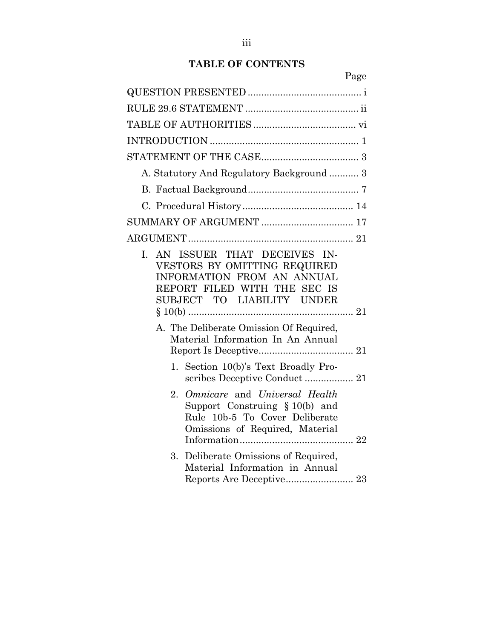### **TABLE OF CONTENTS**

Page QUESTION PRESENTED .......................................... i RULE 29.6 STATEMENT .......................................... ii TABLE OF AUTHORITIES ...................................... vi INTRODUCTION ....................................................... 1 STATEMENT OF THE CASE .................................... 3 A. Statutory And Regulatory Background ........... 3 B. Factual Background ......................................... 7 C. Procedural History ......................................... 14 SUMMARY OF ARGUMENT .................................. 17 ARGUMENT ............................................................. 21 I. AN ISSUER THAT DECEIVES IN-VESTORS BY OMITTING REQUIRED INFORMATION FROM AN ANNUAL REPORT FILED WITH THE SEC IS SUBJECT TO LIABILITY UNDER § 10(b) ............................................................. 21 A. The Deliberate Omission Of Required, Material Information In An Annual Report Is Deceptive ................................... 21 1. Section 10(b)'s Text Broadly Proscribes Deceptive Conduct .................. 21 2. *Omnicare* and *Universal Health* Support Construing § 10(b) and Rule 10b-5 To Cover Deliberate Omissions of Required, Material Information .......................................... 22 3. Deliberate Omissions of Required, Material Information in Annual Reports Are Deceptive ......................... 23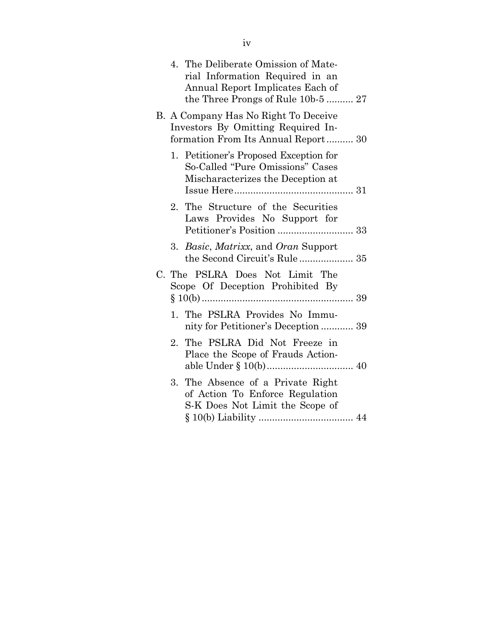|    | 4. The Deliberate Omission of Mate-<br>rial Information Required in an<br>Annual Report Implicates Each of<br>the Three Prongs of Rule 10b-5  27 |
|----|--------------------------------------------------------------------------------------------------------------------------------------------------|
|    | B. A Company Has No Right To Deceive<br>Investors By Omitting Required In-<br>formation From Its Annual Report 30                                |
|    | 1. Petitioner's Proposed Exception for<br>So-Called "Pure Omissions" Cases<br>Mischaracterizes the Deception at                                  |
|    | 2. The Structure of the Securities<br>Laws Provides No Support for                                                                               |
|    | 3. Basic, Matrixx, and Oran Support                                                                                                              |
|    | C. The PSLRA Does Not Limit The<br>Scope Of Deception Prohibited By                                                                              |
|    | 1. The PSLRA Provides No Immu-<br>nity for Petitioner's Deception  39                                                                            |
|    | 2. The PSLRA Did Not Freeze in<br>Place the Scope of Frauds Action-                                                                              |
| 3. | The Absence of a Private Right<br>of Action To Enforce Regulation<br>S-K Does Not Limit the Scope of                                             |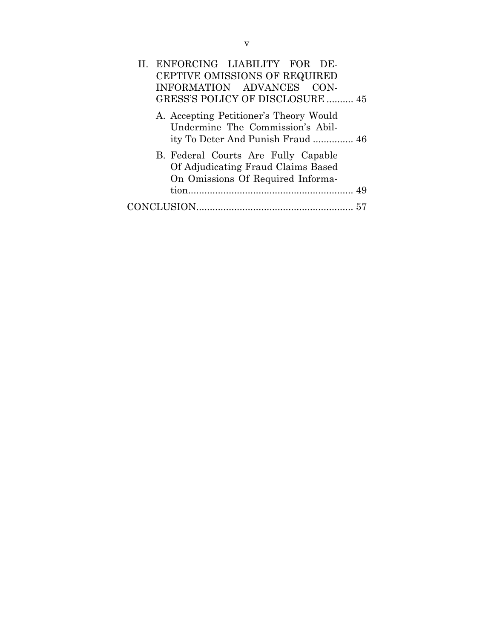| II. ENFORCING LIABILITY FOR DE-<br>CEPTIVE OMISSIONS OF REQUIRED                                                |
|-----------------------------------------------------------------------------------------------------------------|
| INFORMATION ADVANCES CON-                                                                                       |
| GRESS'S POLICY OF DISCLOSURE  45                                                                                |
| A. Accepting Petitioner's Theory Would<br>Undermine The Commission's Abil-<br>ity To Deter And Punish Fraud  46 |
| B. Federal Courts Are Fully Capable<br>Of Adjudicating Fraud Claims Based<br>On Omissions Of Required Informa-  |
| 49                                                                                                              |
|                                                                                                                 |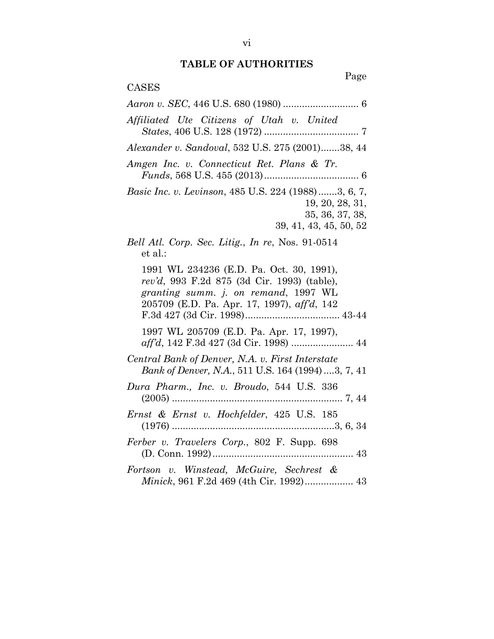# **TABLE OF AUTHORITIES**

Page

| CASES                                                                                                                                                                          |
|--------------------------------------------------------------------------------------------------------------------------------------------------------------------------------|
|                                                                                                                                                                                |
| Affiliated Ute Citizens of Utah v. United                                                                                                                                      |
| Alexander v. Sandoval, 532 U.S. 275 (2001)38, 44                                                                                                                               |
| Amgen Inc. v. Connecticut Ret. Plans & Tr.                                                                                                                                     |
| Basic Inc. v. Levinson, 485 U.S. 224 (1988) 3, 6, 7,<br>19, 20, 28, 31,<br>35, 36, 37, 38,<br>39, 41, 43, 45, 50, 52                                                           |
| Bell Atl. Corp. Sec. Litig., In re, Nos. 91-0514<br>et al.:                                                                                                                    |
| 1991 WL 234236 (E.D. Pa. Oct. 30, 1991),<br>rev'd, 993 F.2d 875 (3d Cir. 1993) (table),<br>granting summ. j. on remand, 1997 WL<br>205709 (E.D. Pa. Apr. 17, 1997), aff'd, 142 |
| 1997 WL 205709 (E.D. Pa. Apr. 17, 1997),                                                                                                                                       |
| Central Bank of Denver, N.A. v. First Interstate<br>Bank of Denver, N.A., 511 U.S. 164 (1994) 3, 7, 41                                                                         |
| Dura Pharm., Inc. v. Broudo, 544 U.S. 336                                                                                                                                      |
| Ernst & Ernst v. Hochfelder, 425 U.S. 185                                                                                                                                      |
| Ferber v. Travelers Corp., 802 F. Supp. 698<br>43                                                                                                                              |
| Fortson v. Winstead, McGuire, Sechrest &<br>Minick, 961 F.2d 469 (4th Cir. 1992) 43                                                                                            |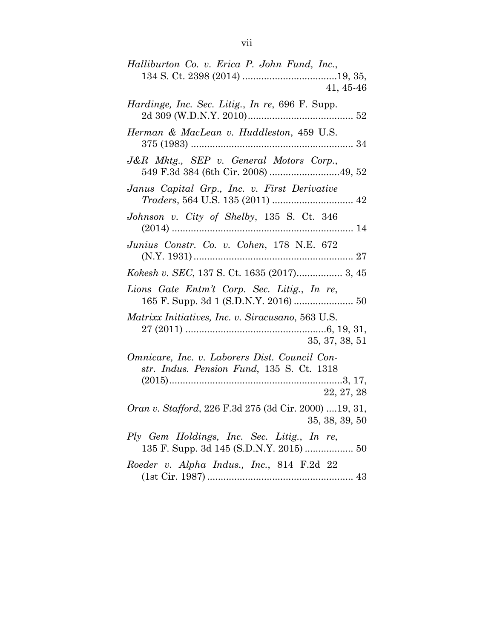| Halliburton Co. v. Erica P. John Fund, Inc.,                                                             |
|----------------------------------------------------------------------------------------------------------|
| $41, 45-46$                                                                                              |
| Hardinge, Inc. Sec. Litig., In re, 696 F. Supp.                                                          |
| Herman & MacLean v. Huddleston, 459 U.S.                                                                 |
| J&R Mktg., SEP v. General Motors Corp.,                                                                  |
| Janus Capital Grp., Inc. v. First Derivative                                                             |
| Johnson v. City of Shelby, 135 S. Ct. 346                                                                |
| Junius Constr. Co. v. Cohen, 178 N.E. 672                                                                |
|                                                                                                          |
| Lions Gate Entm't Corp. Sec. Litig., In re,<br>165 F. Supp. 3d 1 (S.D.N.Y. 2016)  50                     |
| Matrixx Initiatives, Inc. v. Siracusano, 563 U.S.<br>35, 37, 38, 51                                      |
| Omnicare, Inc. v. Laborers Dist. Council Con-<br>str. Indus. Pension Fund, 135 S. Ct. 1318<br>22, 27, 28 |
| Oran v. Stafford, 226 F.3d 275 (3d Cir. 2000)  19, 31,<br>35, 38, 39, 50                                 |
| Ply Gem Holdings, Inc. Sec. Litig., In re,<br>135 F. Supp. 3d 145 (S.D.N.Y. 2015)  50                    |
| Roeder v. Alpha Indus., Inc., 814 F.2d 22                                                                |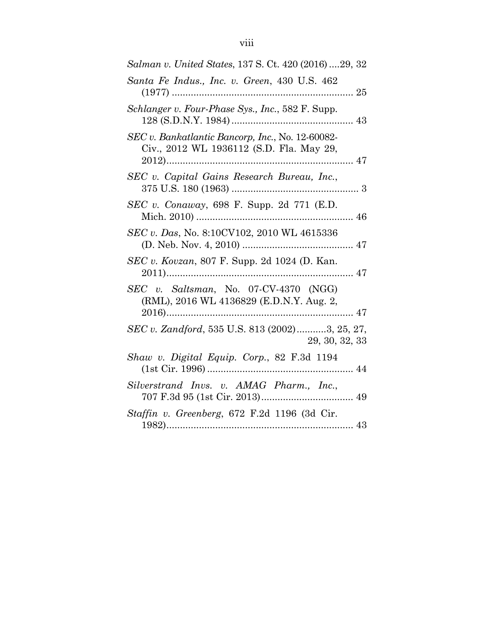| Salman v. United States, 137 S. Ct. 420 (2016) 29, 32                                        |
|----------------------------------------------------------------------------------------------|
| Santa Fe Indus., Inc. v. Green, 430 U.S. 462                                                 |
| Schlanger v. Four-Phase Sys., Inc., 582 F. Supp.                                             |
| SEC v. Bankatlantic Bancorp, Inc., No. 12-60082-<br>Civ., 2012 WL 1936112 (S.D. Fla. May 29, |
| SEC v. Capital Gains Research Bureau, Inc.,                                                  |
| SEC v. Conaway, 698 F. Supp. 2d 771 (E.D.                                                    |
| SEC v. Das, No. 8:10CV102, 2010 WL 4615336                                                   |
| SEC v. Kovzan, 807 F. Supp. 2d 1024 (D. Kan.                                                 |
| SEC v. Saltsman, No. 07-CV-4370 (NGG)<br>(RML), 2016 WL 4136829 (E.D.N.Y. Aug. 2,            |
| SEC v. Zandford, 535 U.S. 813 (2002)3, 25, 27,<br>29, 30, 32, 33                             |
| Shaw v. Digital Equip. Corp., 82 F.3d 1194                                                   |
| Silverstrand Invs. v. AMAG Pharm., Inc.,                                                     |
| Staffin v. Greenberg, 672 F.2d 1196 (3d Cir.                                                 |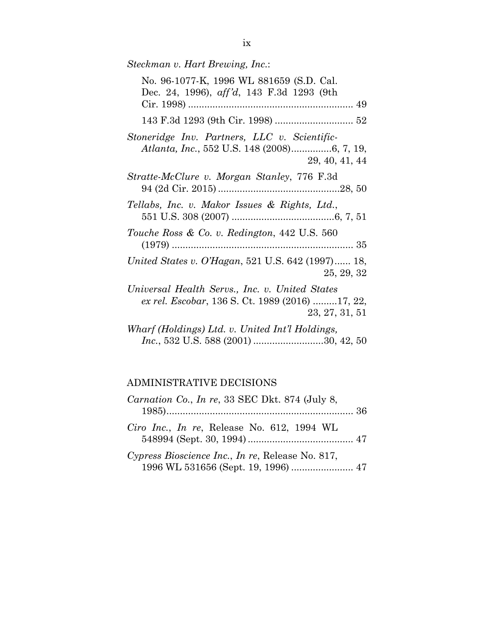| Steckman v. Hart Brewing, Inc.:                                                                                     |
|---------------------------------------------------------------------------------------------------------------------|
| No. 96-1077-K, 1996 WL 881659 (S.D. Cal.<br>Dec. 24, 1996), aff'd, 143 F.3d 1293 (9th                               |
|                                                                                                                     |
| Stoneridge Inv. Partners, LLC v. Scientific-<br>29, 40, 41, 44                                                      |
| Stratte-McClure v. Morgan Stanley, 776 F.3d                                                                         |
| Tellabs, Inc. v. Makor Issues & Rights, Ltd.,                                                                       |
| Touche Ross & Co. v. Redington, 442 U.S. 560                                                                        |
| United States v. O'Hagan, 521 U.S. 642 (1997) 18,<br>25, 29, 32                                                     |
| Universal Health Servs., Inc. v. United States<br>ex rel. Escobar, 136 S. Ct. 1989 (2016) 17, 22,<br>23, 27, 31, 51 |
| Wharf (Holdings) Ltd. v. United Int'l Holdings,                                                                     |

### *Inc.*, 532 U.S. 588 (2001) .......................... 30, 42, 50

## ADMINISTRATIVE DECISIONS

| <i>Carnation Co., In re, 33 SEC Dkt. 874 (July 8, 2011)</i>                             |  |
|-----------------------------------------------------------------------------------------|--|
| Ciro Inc., In re, Release No. 612, 1994 WL                                              |  |
| Cypress Bioscience Inc., In re, Release No. 817,<br>1996 WL 531656 (Sept. 19, 1996)  47 |  |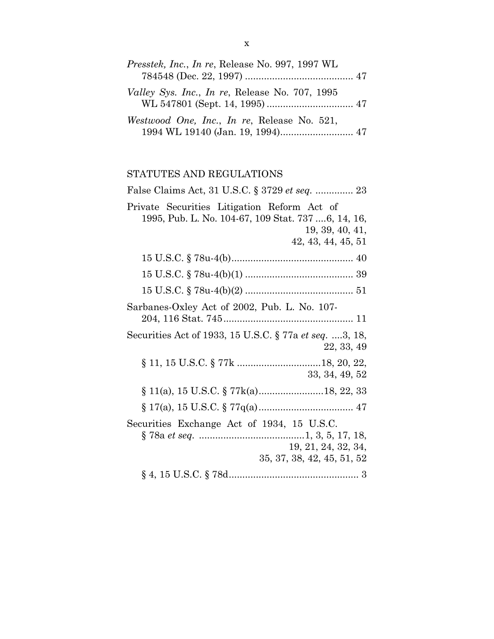| <i>Presstek, Inc., In re, Release No. 997, 1997 WL</i> |  |
|--------------------------------------------------------|--|
| <i>Valley Sys. Inc., In re, Release No. 707, 1995</i>  |  |
| Westwood One, Inc., In re, Release No. 521,            |  |

## STATUTES AND REGULATIONS

| False Claims Act, 31 U.S.C. § 3729 et seq.  23                                                                                             |
|--------------------------------------------------------------------------------------------------------------------------------------------|
| Private Securities Litigation Reform Act of<br>1995, Pub. L. No. 104-67, 109 Stat. 737 6, 14, 16,<br>19, 39, 40, 41,<br>42, 43, 44, 45, 51 |
|                                                                                                                                            |
|                                                                                                                                            |
|                                                                                                                                            |
| Sarbanes-Oxley Act of 2002, Pub. L. No. 107-                                                                                               |
| Securities Act of 1933, 15 U.S.C. § 77a et seq. 3, 18,<br>22, 33, 49                                                                       |
| 33, 34, 49, 52                                                                                                                             |
|                                                                                                                                            |
|                                                                                                                                            |
| Securities Exchange Act of 1934, 15 U.S.C.<br>19, 21, 24, 32, 34,<br>35, 37, 38, 42, 45, 51, 52                                            |
|                                                                                                                                            |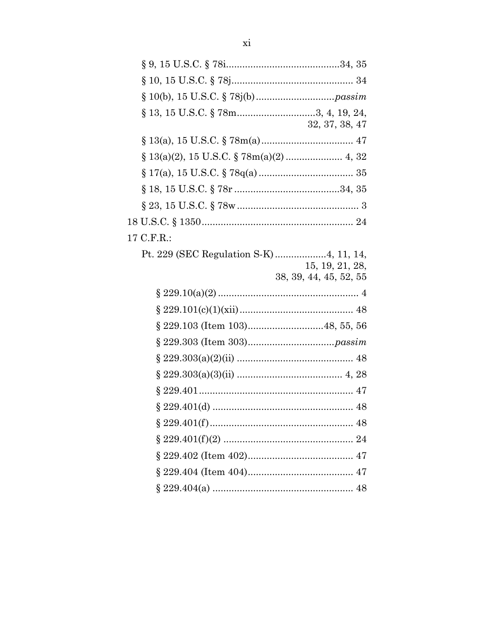| $\S$ 13, 15 U.S.C. $\S$ 78m3, 4, 19, 24,                  | 32, 37, 38, 47                            |
|-----------------------------------------------------------|-------------------------------------------|
|                                                           |                                           |
| $\S 13(a)(2), 15 \text{ U.S.C.} \S 78m(a)(2) \dots$ 4, 32 |                                           |
|                                                           |                                           |
|                                                           |                                           |
|                                                           |                                           |
|                                                           |                                           |
| C.F.R.                                                    |                                           |
|                                                           | 15, 19, 21, 28,<br>38, 39, 44, 45, 52, 55 |
|                                                           |                                           |
|                                                           |                                           |
|                                                           |                                           |
| $\S$ 229.103 (Item 103)48, 55, 56                         |                                           |
|                                                           |                                           |
|                                                           |                                           |
|                                                           |                                           |
|                                                           |                                           |
|                                                           |                                           |
|                                                           |                                           |
|                                                           |                                           |
|                                                           |                                           |
|                                                           |                                           |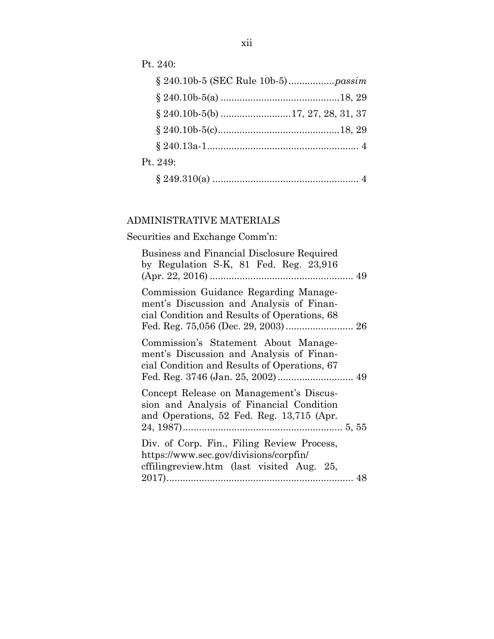Pt. 240:

| Pt. 249: |  |
|----------|--|
|          |  |

## ADMINISTRATIVE MATERIALS

Securities and Exchange Comm'n:

| Business and Financial Disclosure Required<br>by Regulation S-K, $81$ Fed. Reg. $23,916$                                          |
|-----------------------------------------------------------------------------------------------------------------------------------|
| Commission Guidance Regarding Manage-<br>ment's Discussion and Analysis of Finan-<br>cial Condition and Results of Operations, 68 |
| Commission's Statement About Manage-<br>ment's Discussion and Analysis of Finan-<br>cial Condition and Results of Operations, 67  |
| Concept Release on Management's Discus-<br>sion and Analysis of Financial Condition<br>and Operations, 52 Fed. Reg. 13,715 (Apr.  |
| Div. of Corp. Fin., Filing Review Process,<br>https://www.sec.gov/divisions/corpfin/<br>effilingreview.htm (last visited Aug. 25, |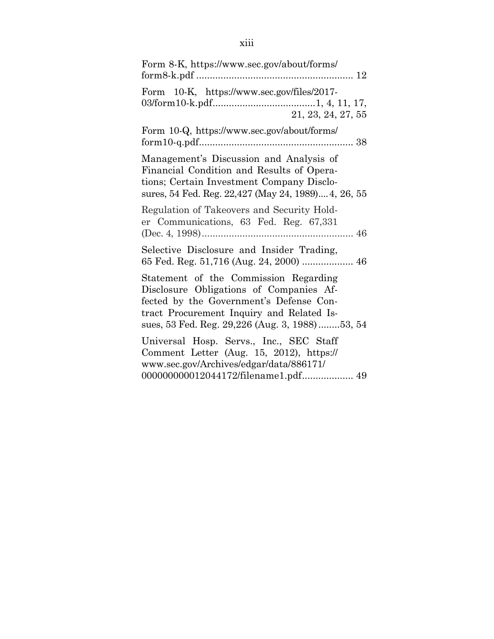| Form 8-K, https://www.sec.gov/about/forms/                                                                                                                                                                                 |
|----------------------------------------------------------------------------------------------------------------------------------------------------------------------------------------------------------------------------|
| Form 10-K, https://www.sec.gov/files/2017-<br>21, 23, 24, 27, 55                                                                                                                                                           |
| Form 10-Q, https://www.sec.gov/about/forms/                                                                                                                                                                                |
| Management's Discussion and Analysis of<br>Financial Condition and Results of Opera-<br>tions; Certain Investment Company Disclo-<br>sures, 54 Fed. Reg. 22,427 (May 24, 1989) 4, 26, 55                                   |
| Regulation of Takeovers and Security Hold-<br>er Communications, 63 Fed. Reg. 67,331                                                                                                                                       |
| Selective Disclosure and Insider Trading,<br>65 Fed. Reg. 51,716 (Aug. 24, 2000)  46                                                                                                                                       |
| Statement of the Commission Regarding<br>Disclosure Obligations of Companies Af-<br>fected by the Government's Defense Con-<br>tract Procurement Inquiry and Related Is-<br>sues, 53 Fed. Reg. 29,226 (Aug. 3, 1988)53, 54 |
| Universal Hosp. Servs., Inc., SEC Staff<br>Comment Letter (Aug. 15, 2012), https://<br>www.sec.gov/Archives/edgar/data/886171/                                                                                             |
| 000000000012044172/filename1.pdf 49                                                                                                                                                                                        |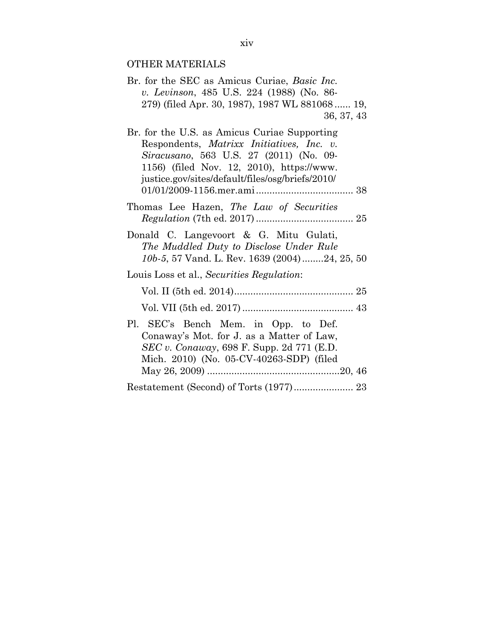## OTHER MATERIALS

| Br. for the SEC as Amicus Curiae, Basic Inc.<br>v. Levinson, 485 U.S. 224 (1988) (No. 86-<br>279) (filed Apr. 30, 1987), 1987 WL 881068 19,<br>36, 37, 43                                                                             |  |
|---------------------------------------------------------------------------------------------------------------------------------------------------------------------------------------------------------------------------------------|--|
| Br. for the U.S. as Amicus Curiae Supporting<br>Respondents, Matrixx Initiatives, Inc. v.<br>Siracusano, 563 U.S. 27 (2011) (No. 09-<br>1156) (filed Nov. 12, 2010), https://www.<br>justice.gov/sites/default/files/osg/briefs/2010/ |  |
| Thomas Lee Hazen, The Law of Securities                                                                                                                                                                                               |  |
| Donald C. Langevoort & G. Mitu Gulati,<br>The Muddled Duty to Disclose Under Rule<br>10b-5, 57 Vand. L. Rev. 1639 (2004)24, 25, 50                                                                                                    |  |
| Louis Loss et al., Securities Regulation:                                                                                                                                                                                             |  |
|                                                                                                                                                                                                                                       |  |
|                                                                                                                                                                                                                                       |  |
| Pl. SEC's Bench Mem. in Opp. to Def.<br>Conaway's Mot. for J. as a Matter of Law,<br><i>SEC v. Conaway</i> , 698 F. Supp. 2d 771 (E.D.<br>Mich. 2010) (No. 05-CV-40263-SDP) (filed                                                    |  |
| Restatement (Second) of Torts (1977) 23                                                                                                                                                                                               |  |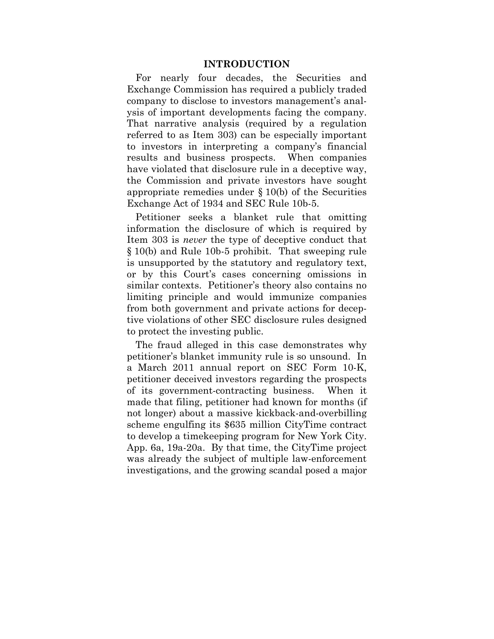### **INTRODUCTION**

For nearly four decades, the Securities and Exchange Commission has required a publicly traded company to disclose to investors management's analysis of important developments facing the company. That narrative analysis (required by a regulation referred to as Item 303) can be especially important to investors in interpreting a company's financial results and business prospects. When companies have violated that disclosure rule in a deceptive way, the Commission and private investors have sought appropriate remedies under § 10(b) of the Securities Exchange Act of 1934 and SEC Rule 10b-5.

Petitioner seeks a blanket rule that omitting information the disclosure of which is required by Item 303 is *never* the type of deceptive conduct that § 10(b) and Rule 10b-5 prohibit. That sweeping rule is unsupported by the statutory and regulatory text, or by this Court's cases concerning omissions in similar contexts. Petitioner's theory also contains no limiting principle and would immunize companies from both government and private actions for deceptive violations of other SEC disclosure rules designed to protect the investing public.

The fraud alleged in this case demonstrates why petitioner's blanket immunity rule is so unsound. In a March 2011 annual report on SEC Form 10-K, petitioner deceived investors regarding the prospects of its government-contracting business. When it made that filing, petitioner had known for months (if not longer) about a massive kickback-and-overbilling scheme engulfing its \$635 million CityTime contract to develop a timekeeping program for New York City. App. 6a, 19a-20a. By that time, the CityTime project was already the subject of multiple law-enforcement investigations, and the growing scandal posed a major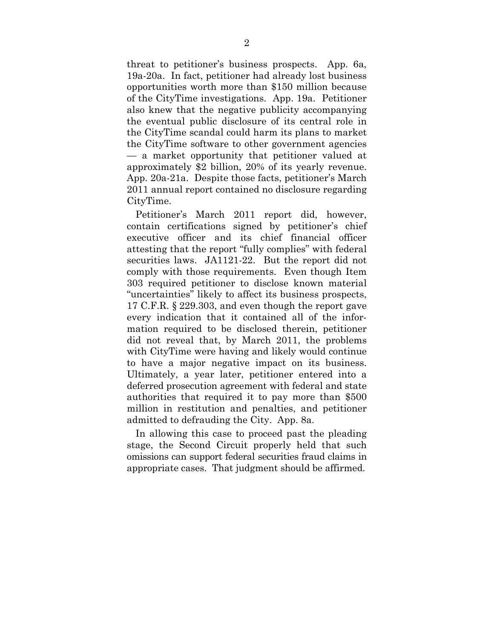threat to petitioner's business prospects. App. 6a, 19a-20a. In fact, petitioner had already lost business opportunities worth more than \$150 million because of the CityTime investigations. App. 19a. Petitioner also knew that the negative publicity accompanying the eventual public disclosure of its central role in the CityTime scandal could harm its plans to market the CityTime software to other government agencies — a market opportunity that petitioner valued at approximately \$2 billion, 20% of its yearly revenue. App. 20a-21a. Despite those facts, petitioner's March 2011 annual report contained no disclosure regarding CityTime.

Petitioner's March 2011 report did, however, contain certifications signed by petitioner's chief executive officer and its chief financial officer attesting that the report "fully complies" with federal securities laws. JA1121-22. But the report did not comply with those requirements. Even though Item 303 required petitioner to disclose known material "uncertainties" likely to affect its business prospects, 17 C.F.R. § 229.303, and even though the report gave every indication that it contained all of the information required to be disclosed therein, petitioner did not reveal that, by March 2011, the problems with CityTime were having and likely would continue to have a major negative impact on its business. Ultimately, a year later, petitioner entered into a deferred prosecution agreement with federal and state authorities that required it to pay more than \$500 million in restitution and penalties, and petitioner admitted to defrauding the City. App. 8a.

In allowing this case to proceed past the pleading stage, the Second Circuit properly held that such omissions can support federal securities fraud claims in appropriate cases. That judgment should be affirmed.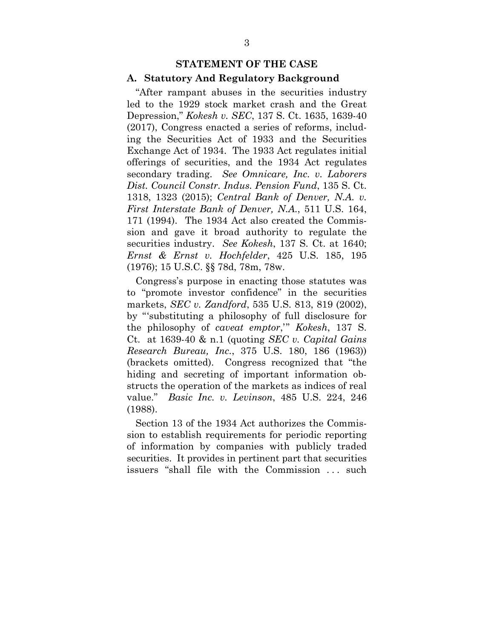#### **STATEMENT OF THE CASE**

#### **A. Statutory And Regulatory Background**

"After rampant abuses in the securities industry led to the 1929 stock market crash and the Great Depression," *Kokesh v. SEC*, 137 S. Ct. 1635, 1639-40 (2017), Congress enacted a series of reforms, including the Securities Act of 1933 and the Securities Exchange Act of 1934. The 1933 Act regulates initial offerings of securities, and the 1934 Act regulates secondary trading. *See Omnicare, Inc. v. Laborers Dist. Council Constr. Indus. Pension Fund*, 135 S. Ct. 1318, 1323 (2015); *Central Bank of Denver, N.A. v. First Interstate Bank of Denver, N.A.*, 511 U.S. 164, 171 (1994). The 1934 Act also created the Commission and gave it broad authority to regulate the securities industry. *See Kokesh*, 137 S. Ct. at 1640; *Ernst & Ernst v. Hochfelder*, 425 U.S. 185, 195 (1976); 15 U.S.C. §§ 78d, 78m, 78w.

Congress's purpose in enacting those statutes was to "promote investor confidence" in the securities markets, *SEC v. Zandford*, 535 U.S. 813, 819 (2002), by "'substituting a philosophy of full disclosure for the philosophy of *caveat emptor*,'" *Kokesh*, 137 S. Ct. at 1639-40 & n.1 (quoting *SEC v. Capital Gains Research Bureau, Inc.*, 375 U.S. 180, 186 (1963)) (brackets omitted). Congress recognized that "the hiding and secreting of important information obstructs the operation of the markets as indices of real value." *Basic Inc. v. Levinson*, 485 U.S. 224, 246 (1988).

Section 13 of the 1934 Act authorizes the Commission to establish requirements for periodic reporting of information by companies with publicly traded securities. It provides in pertinent part that securities issuers "shall file with the Commission ... such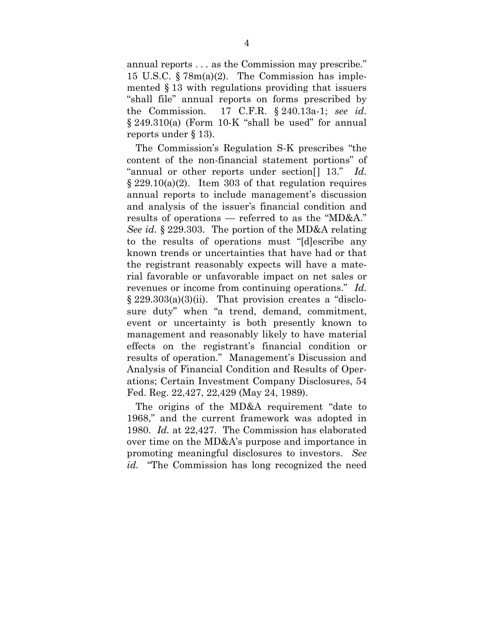annual reports . . . as the Commission may prescribe." 15 U.S.C. § 78m(a)(2). The Commission has implemented § 13 with regulations providing that issuers "shall file" annual reports on forms prescribed by the Commission. 17 C.F.R. § 240.13a-1; *see id.* § 249.310(a) (Form 10-K "shall be used" for annual reports under § 13).

The Commission's Regulation S-K prescribes "the content of the non-financial statement portions" of "annual or other reports under section[] 13." *Id.*  $\S 229.10(a)(2)$ . Item 303 of that regulation requires annual reports to include management's discussion and analysis of the issuer's financial condition and results of operations — referred to as the "MD&A." *See id.* § 229.303. The portion of the MD&A relating to the results of operations must "[d]escribe any known trends or uncertainties that have had or that the registrant reasonably expects will have a material favorable or unfavorable impact on net sales or revenues or income from continuing operations." *Id.* § 229.303(a)(3)(ii). That provision creates a "disclosure duty" when "a trend, demand, commitment, event or uncertainty is both presently known to management and reasonably likely to have material effects on the registrant's financial condition or results of operation." Management's Discussion and Analysis of Financial Condition and Results of Operations; Certain Investment Company Disclosures, 54 Fed. Reg. 22,427, 22,429 (May 24, 1989).

The origins of the MD&A requirement "date to 1968," and the current framework was adopted in 1980. *Id.* at 22,427. The Commission has elaborated over time on the MD&A's purpose and importance in promoting meaningful disclosures to investors. *See id.* "The Commission has long recognized the need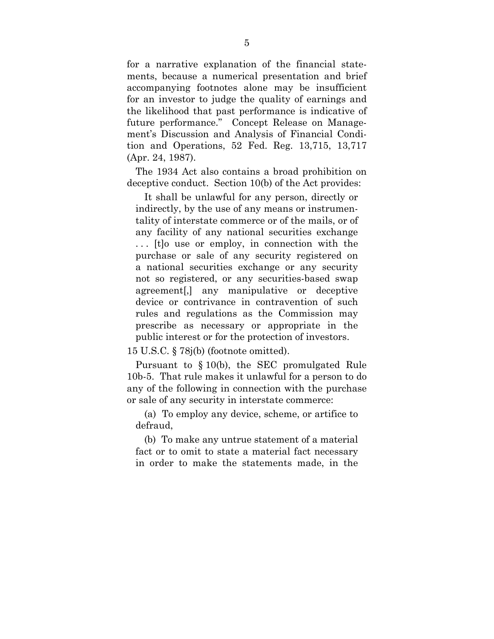for a narrative explanation of the financial statements, because a numerical presentation and brief accompanying footnotes alone may be insufficient for an investor to judge the quality of earnings and the likelihood that past performance is indicative of future performance." Concept Release on Management's Discussion and Analysis of Financial Condition and Operations, 52 Fed. Reg. 13,715, 13,717 (Apr. 24, 1987).

The 1934 Act also contains a broad prohibition on deceptive conduct. Section 10(b) of the Act provides:

It shall be unlawful for any person, directly or indirectly, by the use of any means or instrumentality of interstate commerce or of the mails, or of any facility of any national securities exchange . . . [t]o use or employ, in connection with the purchase or sale of any security registered on a national securities exchange or any security not so registered, or any securities-based swap agreement[,] any manipulative or deceptive device or contrivance in contravention of such rules and regulations as the Commission may prescribe as necessary or appropriate in the public interest or for the protection of investors.

15 U.S.C. § 78j(b) (footnote omitted).

Pursuant to § 10(b), the SEC promulgated Rule 10b-5. That rule makes it unlawful for a person to do any of the following in connection with the purchase or sale of any security in interstate commerce:

(a) To employ any device, scheme, or artifice to defraud,

(b) To make any untrue statement of a material fact or to omit to state a material fact necessary in order to make the statements made, in the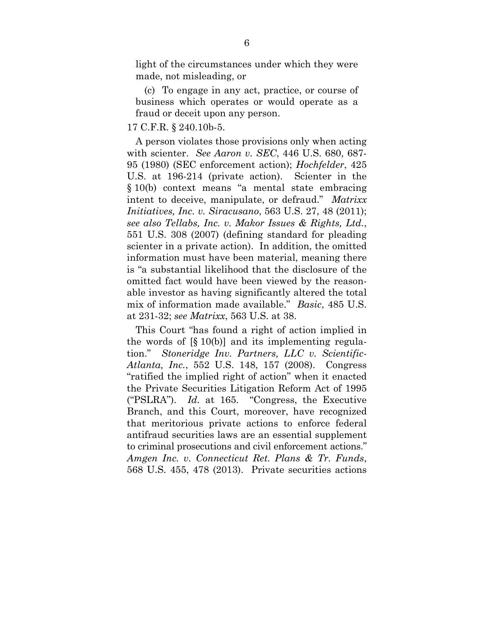light of the circumstances under which they were made, not misleading, or

(c) To engage in any act, practice, or course of business which operates or would operate as a fraud or deceit upon any person.

#### 17 C.F.R. § 240.10b-5.

A person violates those provisions only when acting with scienter. *See Aaron v. SEC*, 446 U.S. 680, 687- 95 (1980) (SEC enforcement action); *Hochfelder*, 425 U.S. at 196-214 (private action). Scienter in the § 10(b) context means "a mental state embracing intent to deceive, manipulate, or defraud." *Matrixx Initiatives, Inc. v. Siracusano*, 563 U.S. 27, 48 (2011); *see also Tellabs, Inc. v. Makor Issues & Rights, Ltd.*, 551 U.S. 308 (2007) (defining standard for pleading scienter in a private action). In addition, the omitted information must have been material, meaning there is "a substantial likelihood that the disclosure of the omitted fact would have been viewed by the reasonable investor as having significantly altered the total mix of information made available." *Basic*, 485 U.S. at 231-32; *see Matrixx*, 563 U.S. at 38.

This Court "has found a right of action implied in the words of [§ 10(b)] and its implementing regulation." *Stoneridge Inv. Partners, LLC v. Scientific-Atlanta, Inc.*, 552 U.S. 148, 157 (2008). Congress "ratified the implied right of action" when it enacted the Private Securities Litigation Reform Act of 1995 ("PSLRA"). *Id.* at 165. "Congress, the Executive Branch, and this Court, moreover, have recognized that meritorious private actions to enforce federal antifraud securities laws are an essential supplement to criminal prosecutions and civil enforcement actions." *Amgen Inc. v. Connecticut Ret. Plans & Tr. Funds*, 568 U.S. 455, 478 (2013). Private securities actions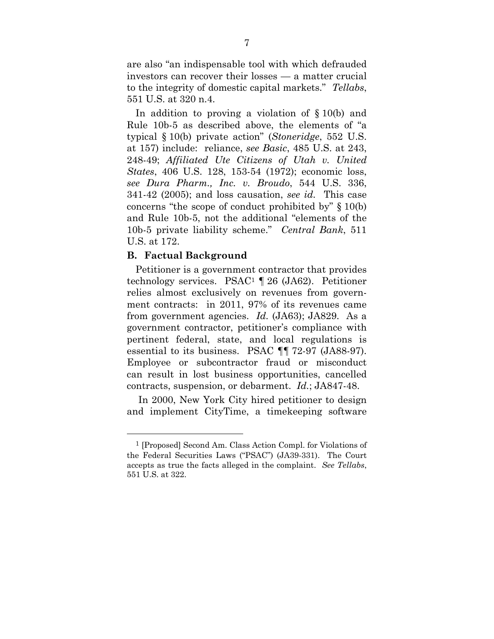are also "an indispensable tool with which defrauded investors can recover their losses — a matter crucial to the integrity of domestic capital markets." *Tellabs*, 551 U.S. at 320 n.4.

In addition to proving a violation of § 10(b) and Rule 10b-5 as described above, the elements of "a typical § 10(b) private action" (*Stoneridge*, 552 U.S. at 157) include: reliance, *see Basic*, 485 U.S. at 243, 248-49; *Affiliated Ute Citizens of Utah v. United States*, 406 U.S. 128, 153-54 (1972); economic loss, *see Dura Pharm., Inc. v. Broudo*, 544 U.S. 336, 341-42 (2005); and loss causation, *see id.* This case concerns "the scope of conduct prohibited by" § 10(b) and Rule 10b-5, not the additional "elements of the 10b-5 private liability scheme." *Central Bank*, 511 U.S. at 172.

### **B. Factual Background**

<u>.</u>

Petitioner is a government contractor that provides technology services. PSAC1 ¶ 26 (JA62). Petitioner relies almost exclusively on revenues from government contracts: in 2011, 97% of its revenues came from government agencies. *Id.* (JA63); JA829. As a government contractor, petitioner's compliance with pertinent federal, state, and local regulations is essential to its business. PSAC ¶¶ 72-97 (JA88-97). Employee or subcontractor fraud or misconduct can result in lost business opportunities, cancelled contracts, suspension, or debarment. *Id.*; JA847-48.

 In 2000, New York City hired petitioner to design and implement CityTime, a timekeeping software

<sup>1 [</sup>Proposed] Second Am. Class Action Compl. for Violations of the Federal Securities Laws ("PSAC") (JA39-331). The Court accepts as true the facts alleged in the complaint. *See Tellabs*, 551 U.S. at 322.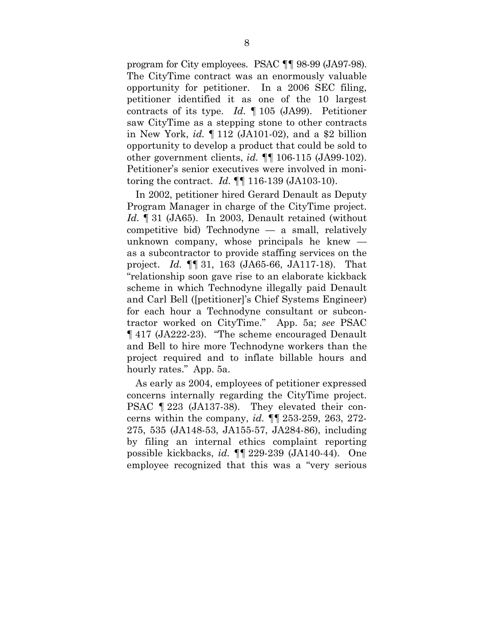program for City employees. PSAC ¶¶ 98-99 (JA97-98). The CityTime contract was an enormously valuable opportunity for petitioner. In a 2006 SEC filing, petitioner identified it as one of the 10 largest contracts of its type. *Id.* ¶ 105 (JA99). Petitioner saw CityTime as a stepping stone to other contracts in New York, *id.* ¶ 112 (JA101-02), and a \$2 billion opportunity to develop a product that could be sold to other government clients, *id.* ¶¶ 106-115 (JA99-102). Petitioner's senior executives were involved in monitoring the contract. *Id.* ¶¶ 116-139 (JA103-10).

In 2002, petitioner hired Gerard Denault as Deputy Program Manager in charge of the CityTime project. *Id.* ¶ 31 (JA65). In 2003, Denault retained (without competitive bid) Technodyne — a small, relatively unknown company, whose principals he knew as a subcontractor to provide staffing services on the project. *Id.* ¶¶ 31, 163 (JA65-66, JA117-18). That "relationship soon gave rise to an elaborate kickback scheme in which Technodyne illegally paid Denault and Carl Bell ([petitioner]'s Chief Systems Engineer) for each hour a Technodyne consultant or subcontractor worked on CityTime." App. 5a; *see* PSAC ¶ 417 (JA222-23). "The scheme encouraged Denault and Bell to hire more Technodyne workers than the project required and to inflate billable hours and hourly rates." App. 5a.

As early as 2004, employees of petitioner expressed concerns internally regarding the CityTime project. PSAC ¶ 223 (JA137-38). They elevated their concerns within the company, *id.* ¶¶ 253-259, 263, 272- 275, 535 (JA148-53, JA155-57, JA284-86), including by filing an internal ethics complaint reporting possible kickbacks, *id.* ¶¶ 229-239 (JA140-44). One employee recognized that this was a "very serious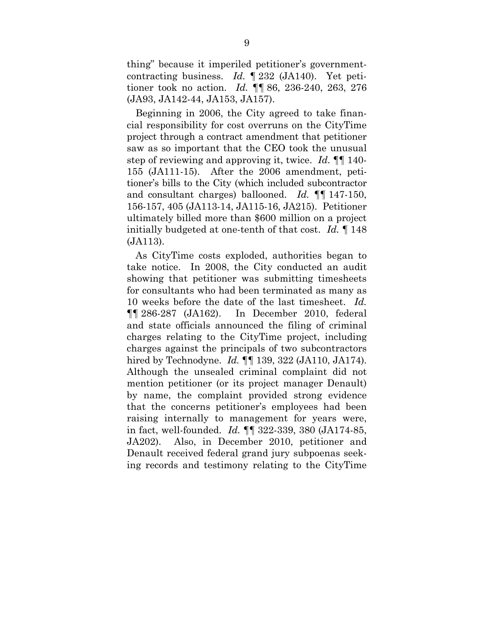thing" because it imperiled petitioner's governmentcontracting business. *Id.* ¶ 232 (JA140). Yet petitioner took no action. *Id.* ¶¶ 86, 236-240, 263, 276 (JA93, JA142-44, JA153, JA157).

Beginning in 2006, the City agreed to take financial responsibility for cost overruns on the CityTime project through a contract amendment that petitioner saw as so important that the CEO took the unusual step of reviewing and approving it, twice. *Id.* ¶¶ 140- 155 (JA111-15). After the 2006 amendment, petitioner's bills to the City (which included subcontractor and consultant charges) ballooned. *Id.* ¶¶ 147-150, 156-157, 405 (JA113-14, JA115-16, JA215). Petitioner ultimately billed more than \$600 million on a project initially budgeted at one-tenth of that cost. *Id.* ¶ 148 (JA113).

As CityTime costs exploded, authorities began to take notice. In 2008, the City conducted an audit showing that petitioner was submitting timesheets for consultants who had been terminated as many as 10 weeks before the date of the last timesheet. *Id.* ¶¶ 286-287 (JA162). In December 2010, federal and state officials announced the filing of criminal charges relating to the CityTime project, including charges against the principals of two subcontractors hired by Technodyne. *Id.* ¶¶ 139, 322 (JA110, JA174). Although the unsealed criminal complaint did not mention petitioner (or its project manager Denault) by name, the complaint provided strong evidence that the concerns petitioner's employees had been raising internally to management for years were, in fact, well-founded. *Id.* ¶¶ 322-339, 380 (JA174-85, JA202). Also, in December 2010, petitioner and Denault received federal grand jury subpoenas seeking records and testimony relating to the CityTime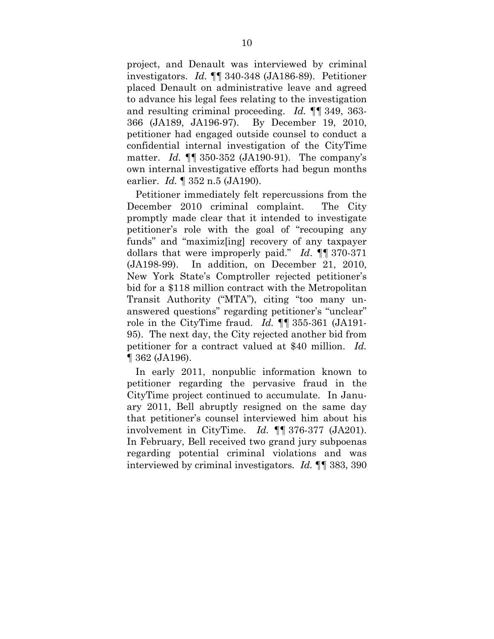project, and Denault was interviewed by criminal investigators. *Id.* ¶¶ 340-348 (JA186-89). Petitioner placed Denault on administrative leave and agreed to advance his legal fees relating to the investigation and resulting criminal proceeding. *Id.* ¶¶ 349, 363- 366 (JA189, JA196-97). By December 19, 2010, petitioner had engaged outside counsel to conduct a confidential internal investigation of the CityTime matter. *Id.* ¶¶ 350-352 (JA190-91). The company's own internal investigative efforts had begun months earlier. *Id.* ¶ 352 n.5 (JA190).

Petitioner immediately felt repercussions from the December 2010 criminal complaint. The City promptly made clear that it intended to investigate petitioner's role with the goal of "recouping any funds" and "maximiz[ing] recovery of any taxpayer dollars that were improperly paid." *Id*. ¶¶ 370-371 (JA198-99). In addition, on December 21, 2010, New York State's Comptroller rejected petitioner's bid for a \$118 million contract with the Metropolitan Transit Authority ("MTA"), citing "too many unanswered questions" regarding petitioner's "unclear" role in the CityTime fraud. *Id.* ¶¶ 355-361 (JA191- 95). The next day, the City rejected another bid from petitioner for a contract valued at \$40 million. *Id.* ¶ 362 (JA196).

In early 2011, nonpublic information known to petitioner regarding the pervasive fraud in the CityTime project continued to accumulate. In January 2011, Bell abruptly resigned on the same day that petitioner's counsel interviewed him about his involvement in CityTime. *Id.* ¶¶ 376-377 (JA201). In February, Bell received two grand jury subpoenas regarding potential criminal violations and was interviewed by criminal investigators. *Id.* ¶¶ 383, 390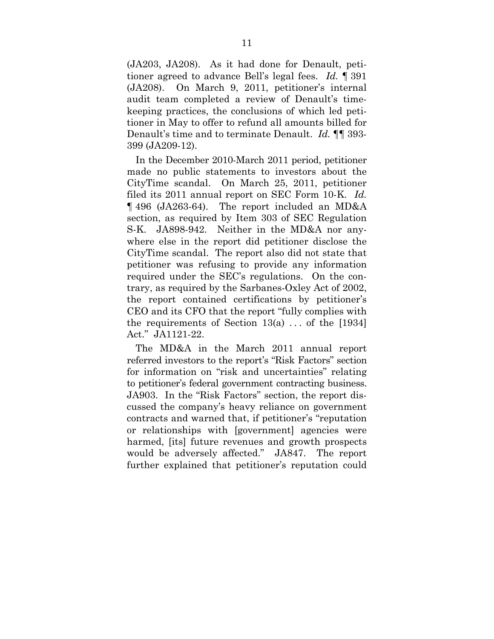(JA203, JA208). As it had done for Denault, petitioner agreed to advance Bell's legal fees. *Id.* ¶ 391 (JA208). On March 9, 2011, petitioner's internal audit team completed a review of Denault's timekeeping practices, the conclusions of which led petitioner in May to offer to refund all amounts billed for Denault's time and to terminate Denault. *Id.* ¶¶ 393- 399 (JA209-12).

In the December 2010-March 2011 period, petitioner made no public statements to investors about the CityTime scandal. On March 25, 2011, petitioner filed its 2011 annual report on SEC Form 10-K. *Id.* ¶ 496 (JA263-64). The report included an MD&A section, as required by Item 303 of SEC Regulation S-K. JA898-942. Neither in the MD&A nor anywhere else in the report did petitioner disclose the CityTime scandal. The report also did not state that petitioner was refusing to provide any information required under the SEC's regulations. On the contrary, as required by the Sarbanes-Oxley Act of 2002, the report contained certifications by petitioner's CEO and its CFO that the report "fully complies with the requirements of Section  $13(a)$ ... of the [1934] Act." JA1121-22.

The MD&A in the March 2011 annual report referred investors to the report's "Risk Factors" section for information on "risk and uncertainties" relating to petitioner's federal government contracting business. JA903. In the "Risk Factors" section, the report discussed the company's heavy reliance on government contracts and warned that, if petitioner's "reputation or relationships with [government] agencies were harmed, [its] future revenues and growth prospects would be adversely affected." JA847. The report further explained that petitioner's reputation could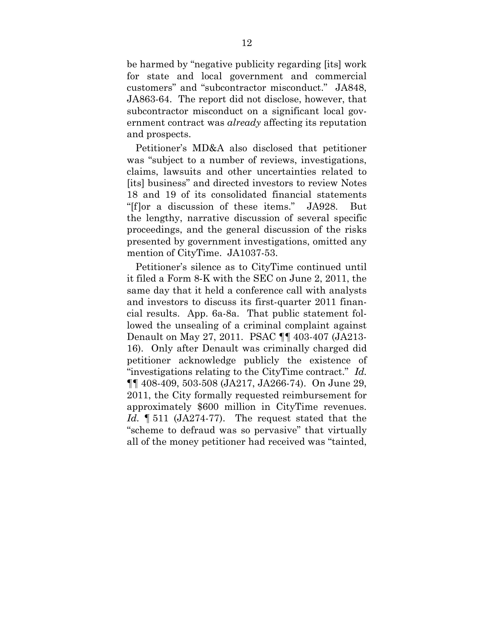be harmed by "negative publicity regarding [its] work for state and local government and commercial customers" and "subcontractor misconduct." JA848, JA863-64. The report did not disclose, however, that subcontractor misconduct on a significant local government contract was *already* affecting its reputation and prospects.

Petitioner's MD&A also disclosed that petitioner was "subject to a number of reviews, investigations, claims, lawsuits and other uncertainties related to [its] business" and directed investors to review Notes 18 and 19 of its consolidated financial statements "[f]or a discussion of these items." JA928. But the lengthy, narrative discussion of several specific proceedings, and the general discussion of the risks presented by government investigations, omitted any mention of CityTime. JA1037-53.

Petitioner's silence as to CityTime continued until it filed a Form 8-K with the SEC on June 2, 2011, the same day that it held a conference call with analysts and investors to discuss its first-quarter 2011 financial results. App. 6a-8a. That public statement followed the unsealing of a criminal complaint against Denault on May 27, 2011. PSAC ¶¶ 403-407 (JA213- 16). Only after Denault was criminally charged did petitioner acknowledge publicly the existence of "investigations relating to the CityTime contract." *Id.*  ¶¶ 408-409, 503-508 (JA217, JA266-74). On June 29, 2011, the City formally requested reimbursement for approximately \$600 million in CityTime revenues. *Id.* ¶ 511 (JA274-77). The request stated that the "scheme to defraud was so pervasive" that virtually all of the money petitioner had received was "tainted,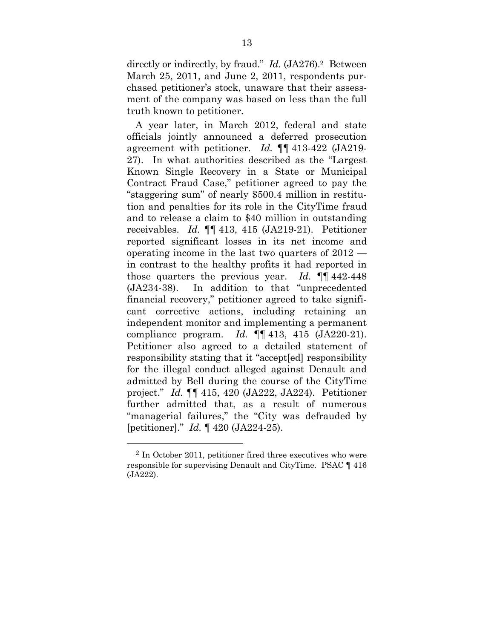directly or indirectly, by fraud." *Id.* (JA276).2 Between March 25, 2011, and June 2, 2011, respondents purchased petitioner's stock, unaware that their assessment of the company was based on less than the full truth known to petitioner.

A year later, in March 2012, federal and state officials jointly announced a deferred prosecution agreement with petitioner. *Id.* ¶¶ 413-422 (JA219- 27). In what authorities described as the "Largest Known Single Recovery in a State or Municipal Contract Fraud Case," petitioner agreed to pay the "staggering sum" of nearly \$500.4 million in restitution and penalties for its role in the CityTime fraud and to release a claim to \$40 million in outstanding receivables. *Id.* ¶¶ 413, 415 (JA219-21). Petitioner reported significant losses in its net income and operating income in the last two quarters of 2012 in contrast to the healthy profits it had reported in those quarters the previous year. *Id.* ¶¶ 442-448 (JA234-38). In addition to that "unprecedented financial recovery," petitioner agreed to take significant corrective actions, including retaining an independent monitor and implementing a permanent compliance program. *Id.* ¶¶ 413, 415 (JA220-21). Petitioner also agreed to a detailed statement of responsibility stating that it "accept[ed] responsibility for the illegal conduct alleged against Denault and admitted by Bell during the course of the CityTime project." *Id.* ¶¶ 415, 420 (JA222, JA224). Petitioner further admitted that, as a result of numerous "managerial failures," the "City was defrauded by [petitioner]." *Id.* ¶ 420 (JA224-25).

1

 $2$  In October 2011, petitioner fired three executives who were responsible for supervising Denault and CityTime. PSAC ¶ 416 (JA222).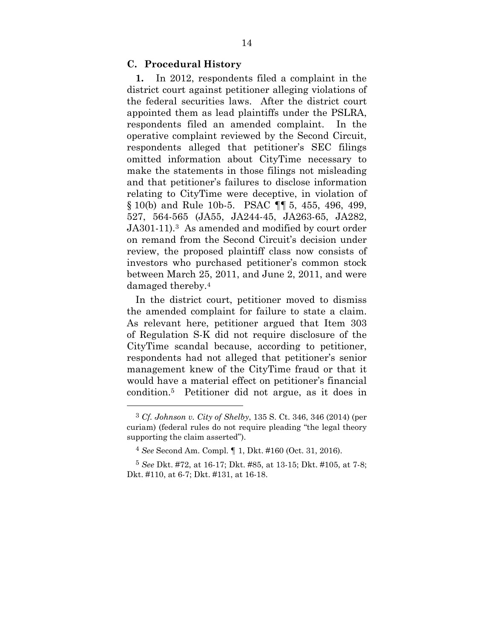### **C. Procedural History**

**1.** In 2012, respondents filed a complaint in the district court against petitioner alleging violations of the federal securities laws. After the district court appointed them as lead plaintiffs under the PSLRA, respondents filed an amended complaint. In the operative complaint reviewed by the Second Circuit, respondents alleged that petitioner's SEC filings omitted information about CityTime necessary to make the statements in those filings not misleading and that petitioner's failures to disclose information relating to CityTime were deceptive, in violation of § 10(b) and Rule 10b-5. PSAC ¶¶ 5, 455, 496, 499, 527, 564-565 (JA55, JA244-45, JA263-65, JA282, JA301-11).3 As amended and modified by court order on remand from the Second Circuit's decision under review, the proposed plaintiff class now consists of investors who purchased petitioner's common stock between March 25, 2011, and June 2, 2011, and were damaged thereby.4

In the district court, petitioner moved to dismiss the amended complaint for failure to state a claim. As relevant here, petitioner argued that Item 303 of Regulation S-K did not require disclosure of the CityTime scandal because, according to petitioner, respondents had not alleged that petitioner's senior management knew of the CityTime fraud or that it would have a material effect on petitioner's financial condition.5 Petitioner did not argue, as it does in

1

<sup>3</sup> *Cf. Johnson v. City of Shelby*, 135 S. Ct. 346, 346 (2014) (per curiam) (federal rules do not require pleading "the legal theory supporting the claim asserted").

<sup>4</sup> *See* Second Am. Compl. ¶ 1, Dkt. #160 (Oct. 31, 2016).

<sup>5</sup> *See* Dkt. #72, at 16-17; Dkt. #85, at 13-15; Dkt. #105, at 7-8; Dkt. #110, at 6-7; Dkt. #131, at 16-18.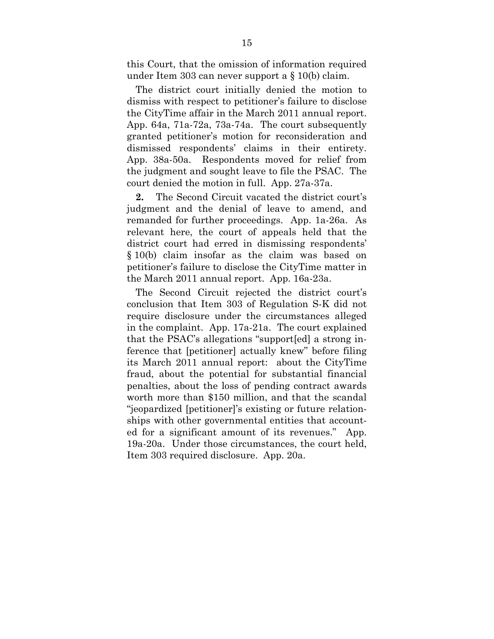this Court, that the omission of information required under Item 303 can never support a § 10(b) claim.

The district court initially denied the motion to dismiss with respect to petitioner's failure to disclose the CityTime affair in the March 2011 annual report. App. 64a, 71a-72a, 73a-74a. The court subsequently granted petitioner's motion for reconsideration and dismissed respondents' claims in their entirety. App. 38a-50a. Respondents moved for relief from the judgment and sought leave to file the PSAC. The court denied the motion in full. App. 27a-37a.

**2.** The Second Circuit vacated the district court's judgment and the denial of leave to amend, and remanded for further proceedings. App. 1a-26a. As relevant here, the court of appeals held that the district court had erred in dismissing respondents' § 10(b) claim insofar as the claim was based on petitioner's failure to disclose the CityTime matter in the March 2011 annual report. App. 16a-23a.

The Second Circuit rejected the district court's conclusion that Item 303 of Regulation S-K did not require disclosure under the circumstances alleged in the complaint. App. 17a-21a. The court explained that the PSAC's allegations "support[ed] a strong inference that [petitioner] actually knew" before filing its March 2011 annual report: about the CityTime fraud, about the potential for substantial financial penalties, about the loss of pending contract awards worth more than \$150 million, and that the scandal "jeopardized [petitioner]'s existing or future relationships with other governmental entities that accounted for a significant amount of its revenues." App. 19a-20a. Under those circumstances, the court held, Item 303 required disclosure. App. 20a.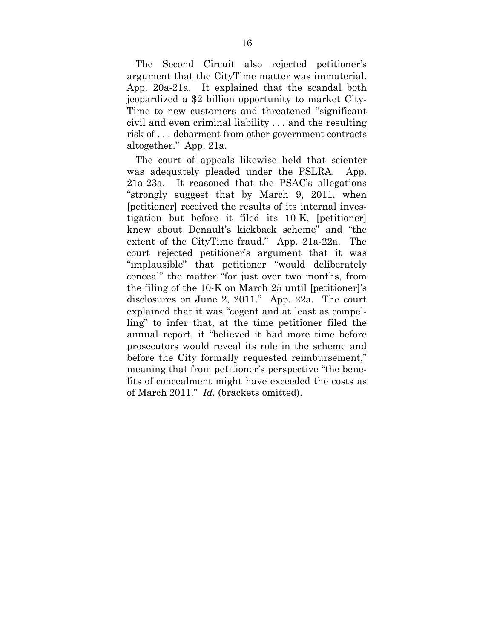The Second Circuit also rejected petitioner's argument that the CityTime matter was immaterial. App. 20a-21a. It explained that the scandal both jeopardized a \$2 billion opportunity to market City-Time to new customers and threatened "significant civil and even criminal liability ... and the resulting risk of . . . debarment from other government contracts altogether." App. 21a.

The court of appeals likewise held that scienter was adequately pleaded under the PSLRA. App. 21a-23a. It reasoned that the PSAC's allegations "strongly suggest that by March 9, 2011, when [petitioner] received the results of its internal investigation but before it filed its 10-K, [petitioner] knew about Denault's kickback scheme" and "the extent of the CityTime fraud." App. 21a-22a. The court rejected petitioner's argument that it was "implausible" that petitioner "would deliberately conceal" the matter "for just over two months, from the filing of the 10-K on March 25 until [petitioner]'s disclosures on June 2, 2011." App. 22a. The court explained that it was "cogent and at least as compelling" to infer that, at the time petitioner filed the annual report, it "believed it had more time before prosecutors would reveal its role in the scheme and before the City formally requested reimbursement," meaning that from petitioner's perspective "the benefits of concealment might have exceeded the costs as of March 2011." *Id.* (brackets omitted).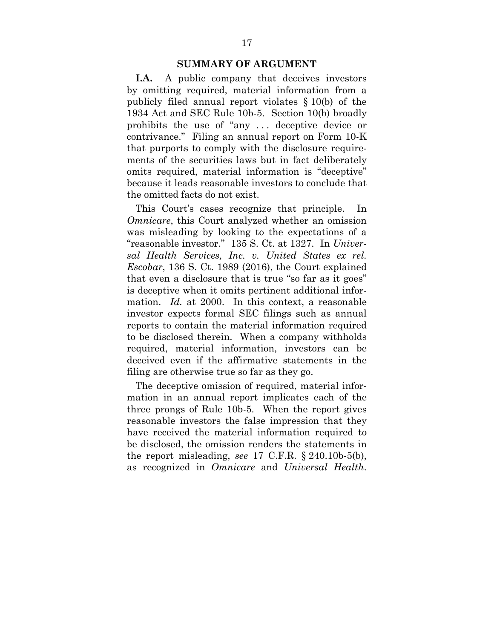#### **SUMMARY OF ARGUMENT**

**I.A.** A public company that deceives investors by omitting required, material information from a publicly filed annual report violates § 10(b) of the 1934 Act and SEC Rule 10b-5. Section 10(b) broadly prohibits the use of "any . . . deceptive device or contrivance." Filing an annual report on Form 10-K that purports to comply with the disclosure requirements of the securities laws but in fact deliberately omits required, material information is "deceptive" because it leads reasonable investors to conclude that the omitted facts do not exist.

This Court's cases recognize that principle. In *Omnicare*, this Court analyzed whether an omission was misleading by looking to the expectations of a "reasonable investor." 135 S. Ct. at 1327. In *Universal Health Services, Inc. v. United States ex rel. Escobar*, 136 S. Ct. 1989 (2016), the Court explained that even a disclosure that is true "so far as it goes" is deceptive when it omits pertinent additional information. *Id.* at 2000. In this context, a reasonable investor expects formal SEC filings such as annual reports to contain the material information required to be disclosed therein. When a company withholds required, material information, investors can be deceived even if the affirmative statements in the filing are otherwise true so far as they go.

The deceptive omission of required, material information in an annual report implicates each of the three prongs of Rule 10b-5. When the report gives reasonable investors the false impression that they have received the material information required to be disclosed, the omission renders the statements in the report misleading, *see* 17 C.F.R. § 240.10b-5(b), as recognized in *Omnicare* and *Universal Health*.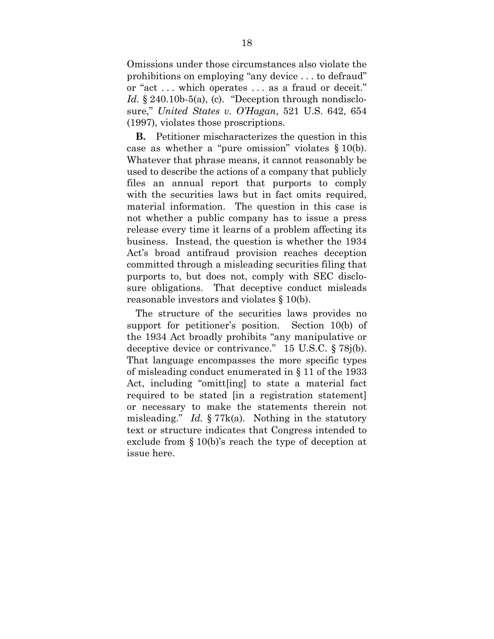Omissions under those circumstances also violate the prohibitions on employing "any device . . . to defraud" or "act . . . which operates . . . as a fraud or deceit." *Id.* § 240.10b-5(a), (c). "Deception through nondisclosure," *United States v. O'Hagan*, 521 U.S. 642, 654 (1997), violates those proscriptions.

**B.** Petitioner mischaracterizes the question in this case as whether a "pure omission" violates § 10(b). Whatever that phrase means, it cannot reasonably be used to describe the actions of a company that publicly files an annual report that purports to comply with the securities laws but in fact omits required, material information. The question in this case is not whether a public company has to issue a press release every time it learns of a problem affecting its business. Instead, the question is whether the 1934 Act's broad antifraud provision reaches deception committed through a misleading securities filing that purports to, but does not, comply with SEC disclosure obligations. That deceptive conduct misleads reasonable investors and violates § 10(b).

The structure of the securities laws provides no support for petitioner's position. Section 10(b) of the 1934 Act broadly prohibits "any manipulative or deceptive device or contrivance." 15 U.S.C. § 78j(b). That language encompasses the more specific types of misleading conduct enumerated in § 11 of the 1933 Act, including "omitt[ing] to state a material fact required to be stated [in a registration statement] or necessary to make the statements therein not misleading." *Id.* § 77k(a). Nothing in the statutory text or structure indicates that Congress intended to exclude from § 10(b)'s reach the type of deception at issue here.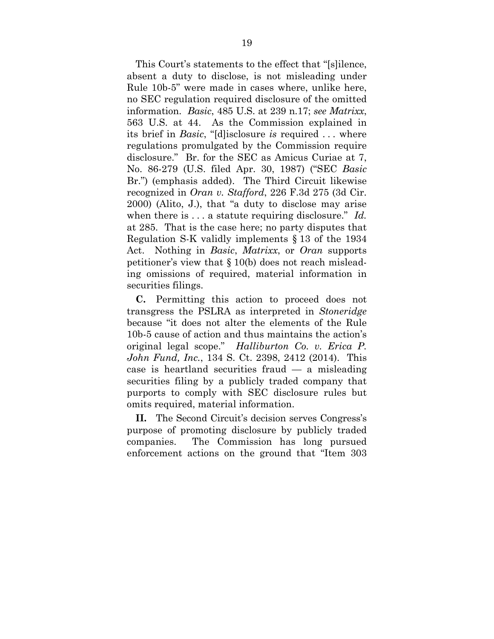This Court's statements to the effect that "[s]ilence, absent a duty to disclose, is not misleading under Rule 10b-5" were made in cases where, unlike here, no SEC regulation required disclosure of the omitted information. *Basic*, 485 U.S. at 239 n.17; *see Matrixx*, 563 U.S. at 44. As the Commission explained in its brief in *Basic*, "[d]isclosure *is* required . . . where regulations promulgated by the Commission require disclosure." Br. for the SEC as Amicus Curiae at 7, No. 86-279 (U.S. filed Apr. 30, 1987) ("SEC *Basic* Br.") (emphasis added). The Third Circuit likewise recognized in *Oran v. Stafford*, 226 F.3d 275 (3d Cir. 2000) (Alito, J.), that "a duty to disclose may arise when there is . . . a statute requiring disclosure." *Id.* at 285. That is the case here; no party disputes that Regulation S-K validly implements § 13 of the 1934 Act. Nothing in *Basic*, *Matrixx*, or *Oran* supports petitioner's view that § 10(b) does not reach misleading omissions of required, material information in securities filings.

**C.** Permitting this action to proceed does not transgress the PSLRA as interpreted in *Stoneridge* because "it does not alter the elements of the Rule 10b-5 cause of action and thus maintains the action's original legal scope." *Halliburton Co. v. Erica P. John Fund, Inc.*, 134 S. Ct. 2398, 2412 (2014). This case is heartland securities fraud — a misleading securities filing by a publicly traded company that purports to comply with SEC disclosure rules but omits required, material information.

**II.** The Second Circuit's decision serves Congress's purpose of promoting disclosure by publicly traded companies. The Commission has long pursued enforcement actions on the ground that "Item 303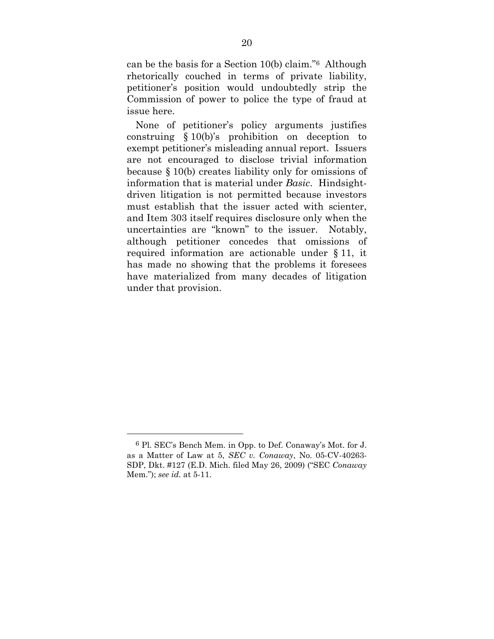can be the basis for a Section 10(b) claim."6 Although rhetorically couched in terms of private liability, petitioner's position would undoubtedly strip the Commission of power to police the type of fraud at issue here.

None of petitioner's policy arguments justifies construing § 10(b)'s prohibition on deception to exempt petitioner's misleading annual report. Issuers are not encouraged to disclose trivial information because § 10(b) creates liability only for omissions of information that is material under *Basic*. Hindsightdriven litigation is not permitted because investors must establish that the issuer acted with scienter, and Item 303 itself requires disclosure only when the uncertainties are "known" to the issuer. Notably, although petitioner concedes that omissions of required information are actionable under § 11, it has made no showing that the problems it foresees have materialized from many decades of litigation under that provision.

<u>.</u>

<sup>6</sup> Pl. SEC's Bench Mem. in Opp. to Def. Conaway's Mot. for J. as a Matter of Law at 5, *SEC v. Conaway*, No. 05-CV-40263- SDP, Dkt. #127 (E.D. Mich. filed May 26, 2009) ("SEC *Conaway* Mem."); *see id.* at 5-11.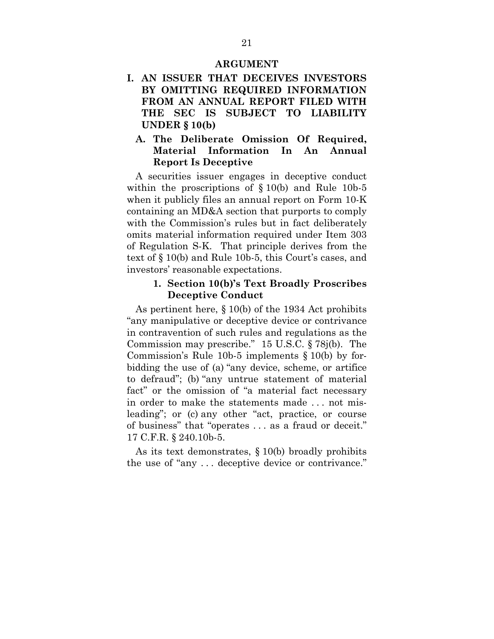#### **ARGUMENT**

- **I. AN ISSUER THAT DECEIVES INVESTORS BY OMITTING REQUIRED INFORMATION FROM AN ANNUAL REPORT FILED WITH THE SEC IS SUBJECT TO LIABILITY UNDER § 10(b)** 
	- **A. The Deliberate Omission Of Required, Material Information In An Annual Report Is Deceptive**

A securities issuer engages in deceptive conduct within the proscriptions of § 10(b) and Rule 10b-5 when it publicly files an annual report on Form 10-K containing an MD&A section that purports to comply with the Commission's rules but in fact deliberately omits material information required under Item 303 of Regulation S-K. That principle derives from the text of § 10(b) and Rule 10b-5, this Court's cases, and investors' reasonable expectations.

#### **1. Section 10(b)'s Text Broadly Proscribes Deceptive Conduct**

As pertinent here, § 10(b) of the 1934 Act prohibits "any manipulative or deceptive device or contrivance in contravention of such rules and regulations as the Commission may prescribe." 15 U.S.C. § 78j(b). The Commission's Rule 10b-5 implements § 10(b) by forbidding the use of (a) "any device, scheme, or artifice to defraud"; (b) "any untrue statement of material fact" or the omission of "a material fact necessary in order to make the statements made . . . not misleading"; or (c) any other "act, practice, or course of business" that "operates . . . as a fraud or deceit." 17 C.F.R. § 240.10b-5.

As its text demonstrates, § 10(b) broadly prohibits the use of "any . . . deceptive device or contrivance."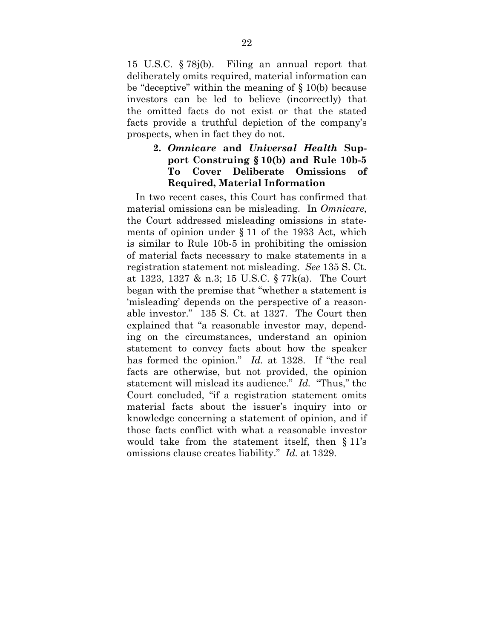15 U.S.C. § 78j(b). Filing an annual report that deliberately omits required, material information can be "deceptive" within the meaning of § 10(b) because investors can be led to believe (incorrectly) that the omitted facts do not exist or that the stated facts provide a truthful depiction of the company's prospects, when in fact they do not.

# **2.** *Omnicare* **and** *Universal Health* **Support Construing § 10(b) and Rule 10b-5 To Cover Deliberate Omissions of Required, Material Information**

In two recent cases, this Court has confirmed that material omissions can be misleading. In *Omnicare*, the Court addressed misleading omissions in statements of opinion under § 11 of the 1933 Act, which is similar to Rule 10b-5 in prohibiting the omission of material facts necessary to make statements in a registration statement not misleading. *See* 135 S. Ct. at 1323, 1327 & n.3; 15 U.S.C. § 77k(a). The Court began with the premise that "whether a statement is 'misleading' depends on the perspective of a reasonable investor." 135 S. Ct. at 1327. The Court then explained that "a reasonable investor may, depending on the circumstances, understand an opinion statement to convey facts about how the speaker has formed the opinion." *Id.* at 1328. If "the real facts are otherwise, but not provided, the opinion statement will mislead its audience." *Id.* "Thus," the Court concluded, "if a registration statement omits material facts about the issuer's inquiry into or knowledge concerning a statement of opinion, and if those facts conflict with what a reasonable investor would take from the statement itself, then § 11's omissions clause creates liability." *Id.* at 1329.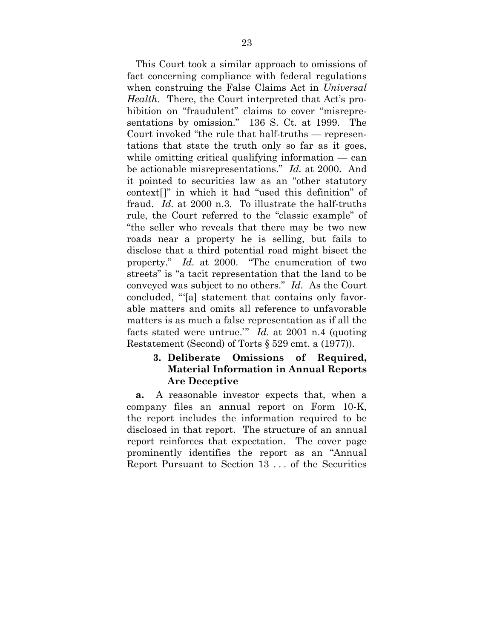This Court took a similar approach to omissions of fact concerning compliance with federal regulations when construing the False Claims Act in *Universal Health*. There, the Court interpreted that Act's prohibition on "fraudulent" claims to cover "misrepresentations by omission." 136 S. Ct. at 1999. The Court invoked "the rule that half-truths — representations that state the truth only so far as it goes, while omitting critical qualifying information — can be actionable misrepresentations." *Id.* at 2000. And it pointed to securities law as an "other statutory context[]" in which it had "used this definition" of fraud. *Id.* at 2000 n.3. To illustrate the half-truths rule, the Court referred to the "classic example" of "the seller who reveals that there may be two new roads near a property he is selling, but fails to disclose that a third potential road might bisect the property." *Id.* at 2000. "The enumeration of two streets" is "a tacit representation that the land to be conveyed was subject to no others." *Id.* As the Court concluded, "'[a] statement that contains only favorable matters and omits all reference to unfavorable matters is as much a false representation as if all the facts stated were untrue.'" *Id.* at 2001 n.4 (quoting Restatement (Second) of Torts § 529 cmt. a (1977)).

#### **3. Deliberate Omissions of Required, Material Information in Annual Reports Are Deceptive**

**a.** A reasonable investor expects that, when a company files an annual report on Form 10-K, the report includes the information required to be disclosed in that report. The structure of an annual report reinforces that expectation. The cover page prominently identifies the report as an "Annual Report Pursuant to Section 13 . . . of the Securities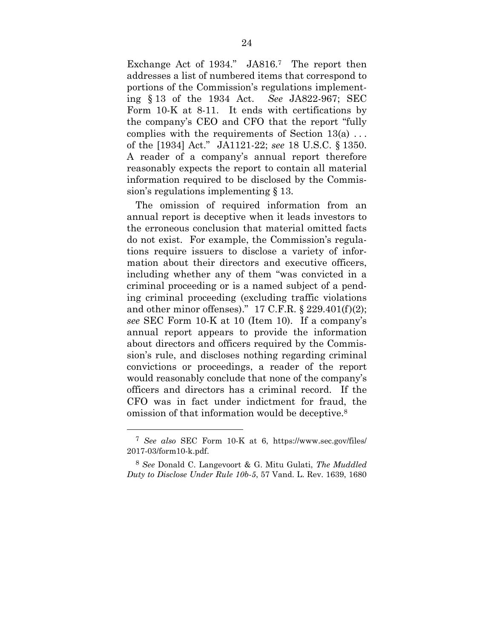Exchange Act of 1934." JA816.<sup>7</sup> The report then addresses a list of numbered items that correspond to portions of the Commission's regulations implementing § 13 of the 1934 Act. *See* JA822-967; SEC Form 10-K at 8-11. It ends with certifications by the company's CEO and CFO that the report "fully complies with the requirements of Section 13(a) . . . of the [1934] Act." JA1121-22; *see* 18 U.S.C. § 1350. A reader of a company's annual report therefore reasonably expects the report to contain all material information required to be disclosed by the Commission's regulations implementing § 13.

The omission of required information from an annual report is deceptive when it leads investors to the erroneous conclusion that material omitted facts do not exist. For example, the Commission's regulations require issuers to disclose a variety of information about their directors and executive officers, including whether any of them "was convicted in a criminal proceeding or is a named subject of a pending criminal proceeding (excluding traffic violations and other minor offenses)."  $17$  C.F.R. §  $229.401(f)(2)$ ; *see* SEC Form 10-K at 10 (Item 10). If a company's annual report appears to provide the information about directors and officers required by the Commission's rule, and discloses nothing regarding criminal convictions or proceedings, a reader of the report would reasonably conclude that none of the company's officers and directors has a criminal record. If the CFO was in fact under indictment for fraud, the omission of that information would be deceptive.8

1

<sup>7</sup> *See also* SEC Form 10-K at 6, https://www.sec.gov/files/ 2017-03/form10-k.pdf.

<sup>8</sup> *See* Donald C. Langevoort & G. Mitu Gulati, *The Muddled Duty to Disclose Under Rule 10b-5*, 57 Vand. L. Rev. 1639, 1680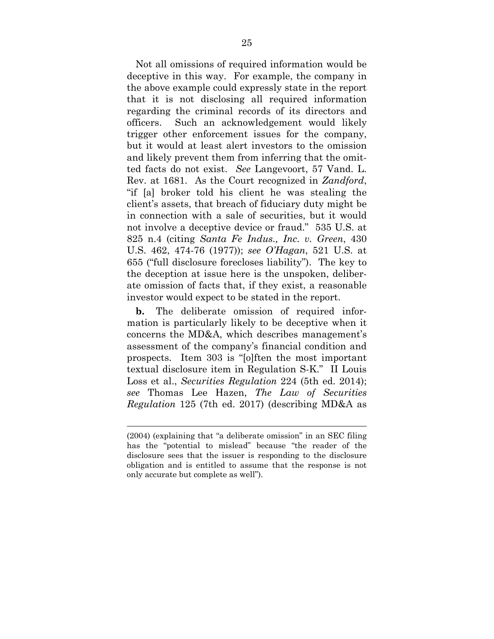Not all omissions of required information would be deceptive in this way. For example, the company in the above example could expressly state in the report that it is not disclosing all required information regarding the criminal records of its directors and officers. Such an acknowledgement would likely trigger other enforcement issues for the company, but it would at least alert investors to the omission and likely prevent them from inferring that the omitted facts do not exist. *See* Langevoort, 57 Vand. L. Rev. at 1681. As the Court recognized in *Zandford*, "if [a] broker told his client he was stealing the client's assets, that breach of fiduciary duty might be in connection with a sale of securities, but it would not involve a deceptive device or fraud." 535 U.S. at 825 n.4 (citing *Santa Fe Indus., Inc. v. Green*, 430 U.S. 462, 474-76 (1977)); *see O'Hagan*, 521 U.S. at 655 ("full disclosure forecloses liability"). The key to the deception at issue here is the unspoken, deliberate omission of facts that, if they exist, a reasonable investor would expect to be stated in the report.

**b.** The deliberate omission of required information is particularly likely to be deceptive when it concerns the MD&A, which describes management's assessment of the company's financial condition and prospects. Item 303 is "[o]ften the most important textual disclosure item in Regulation S-K." II Louis Loss et al., *Securities Regulation* 224 (5th ed. 2014); *see* Thomas Lee Hazen, *The Law of Securities Regulation* 125 (7th ed. 2017) (describing MD&A as

 $\overline{a}$ 

<sup>(2004) (</sup>explaining that "a deliberate omission" in an SEC filing has the "potential to mislead" because "the reader of the disclosure sees that the issuer is responding to the disclosure obligation and is entitled to assume that the response is not only accurate but complete as well").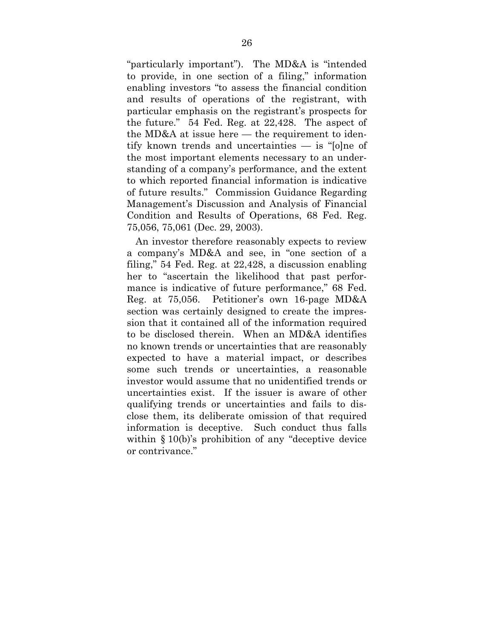"particularly important"). The MD&A is "intended to provide, in one section of a filing," information enabling investors "to assess the financial condition and results of operations of the registrant, with particular emphasis on the registrant's prospects for the future." 54 Fed. Reg. at 22,428. The aspect of the MD&A at issue here — the requirement to identify known trends and uncertainties — is "[o]ne of the most important elements necessary to an understanding of a company's performance, and the extent to which reported financial information is indicative of future results." Commission Guidance Regarding Management's Discussion and Analysis of Financial Condition and Results of Operations, 68 Fed. Reg. 75,056, 75,061 (Dec. 29, 2003).

An investor therefore reasonably expects to review a company's MD&A and see, in "one section of a filing," 54 Fed. Reg. at 22,428, a discussion enabling her to "ascertain the likelihood that past performance is indicative of future performance," 68 Fed. Reg. at 75,056. Petitioner's own 16-page MD&A section was certainly designed to create the impression that it contained all of the information required to be disclosed therein. When an MD&A identifies no known trends or uncertainties that are reasonably expected to have a material impact, or describes some such trends or uncertainties, a reasonable investor would assume that no unidentified trends or uncertainties exist. If the issuer is aware of other qualifying trends or uncertainties and fails to disclose them, its deliberate omission of that required information is deceptive. Such conduct thus falls within § 10(b)'s prohibition of any "deceptive device or contrivance."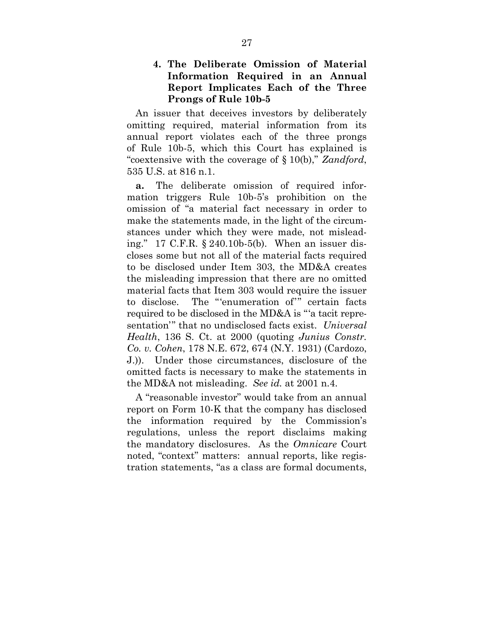**4. The Deliberate Omission of Material Information Required in an Annual Report Implicates Each of the Three Prongs of Rule 10b-5** 

An issuer that deceives investors by deliberately omitting required, material information from its annual report violates each of the three prongs of Rule 10b-5, which this Court has explained is "coextensive with the coverage of § 10(b)," *Zandford*, 535 U.S. at 816 n.1.

**a.** The deliberate omission of required information triggers Rule 10b-5's prohibition on the omission of "a material fact necessary in order to make the statements made, in the light of the circumstances under which they were made, not misleading." 17 C.F.R. § 240.10b-5(b). When an issuer discloses some but not all of the material facts required to be disclosed under Item 303, the MD&A creates the misleading impression that there are no omitted material facts that Item 303 would require the issuer to disclose. The "'enumeration of'" certain facts required to be disclosed in the MD&A is "'a tacit representation'" that no undisclosed facts exist. *Universal Health*, 136 S. Ct. at 2000 (quoting *Junius Constr. Co. v. Cohen*, 178 N.E. 672, 674 (N.Y. 1931) (Cardozo, J.)). Under those circumstances, disclosure of the omitted facts is necessary to make the statements in the MD&A not misleading. *See id.* at 2001 n.4.

A "reasonable investor" would take from an annual report on Form 10-K that the company has disclosed the information required by the Commission's regulations, unless the report disclaims making the mandatory disclosures. As the *Omnicare* Court noted, "context" matters: annual reports, like registration statements, "as a class are formal documents,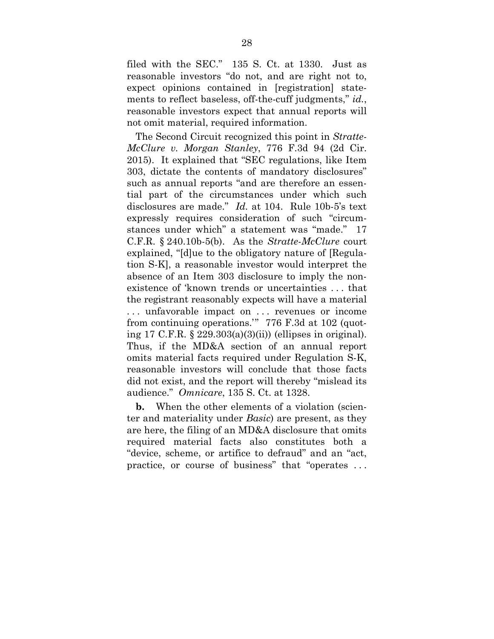filed with the SEC." 135 S. Ct. at 1330. Just as reasonable investors "do not, and are right not to, expect opinions contained in [registration] statements to reflect baseless, off-the-cuff judgments," *id.*, reasonable investors expect that annual reports will not omit material, required information.

The Second Circuit recognized this point in *Stratte-McClure v. Morgan Stanley*, 776 F.3d 94 (2d Cir. 2015). It explained that "SEC regulations, like Item 303, dictate the contents of mandatory disclosures" such as annual reports "and are therefore an essential part of the circumstances under which such disclosures are made." *Id.* at 104. Rule 10b-5's text expressly requires consideration of such "circumstances under which" a statement was "made." 17 C.F.R. § 240.10b-5(b). As the *Stratte-McClure* court explained, "[d]ue to the obligatory nature of [Regulation S-K], a reasonable investor would interpret the absence of an Item 303 disclosure to imply the nonexistence of 'known trends or uncertainties . . . that the registrant reasonably expects will have a material . . . unfavorable impact on . . . revenues or income from continuing operations.'" 776 F.3d at 102 (quoting 17 C.F.R. § 229.303(a)(3)(ii)) (ellipses in original). Thus, if the MD&A section of an annual report omits material facts required under Regulation S-K, reasonable investors will conclude that those facts did not exist, and the report will thereby "mislead its audience." *Omnicare*, 135 S. Ct. at 1328.

**b.** When the other elements of a violation (scienter and materiality under *Basic*) are present, as they are here, the filing of an MD&A disclosure that omits required material facts also constitutes both a "device, scheme, or artifice to defraud" and an "act, practice, or course of business" that "operates . . .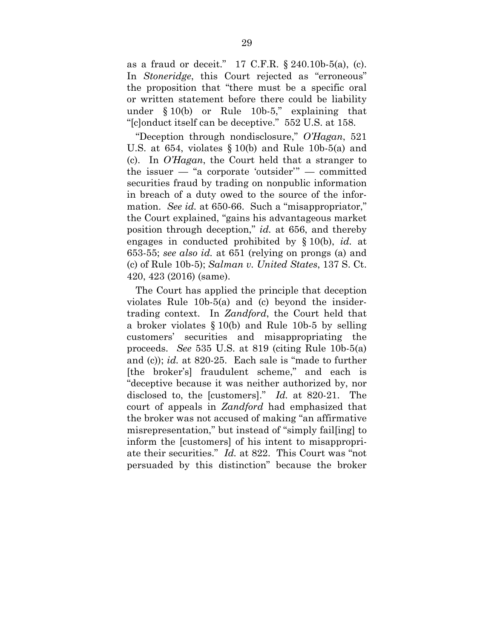as a fraud or deceit." 17 C.F.R. § 240.10b-5(a), (c). In *Stoneridge*, this Court rejected as "erroneous" the proposition that "there must be a specific oral or written statement before there could be liability under § 10(b) or Rule 10b-5," explaining that "[c]onduct itself can be deceptive." 552 U.S. at 158.

"Deception through nondisclosure," *O'Hagan*, 521 U.S. at 654, violates § 10(b) and Rule 10b-5(a) and (c). In *O'Hagan*, the Court held that a stranger to the issuer — "a corporate 'outsider'" — committed securities fraud by trading on nonpublic information in breach of a duty owed to the source of the information. *See id.* at 650-66. Such a "misappropriator," the Court explained, "gains his advantageous market position through deception," *id.* at 656, and thereby engages in conducted prohibited by § 10(b), *id.* at 653-55; *see also id.* at 651 (relying on prongs (a) and (c) of Rule 10b-5); *Salman v. United States*, 137 S. Ct. 420, 423 (2016) (same).

The Court has applied the principle that deception violates Rule 10b-5(a) and (c) beyond the insidertrading context. In *Zandford*, the Court held that a broker violates § 10(b) and Rule 10b-5 by selling customers' securities and misappropriating the proceeds. *See* 535 U.S. at 819 (citing Rule 10b-5(a) and (c)); *id.* at 820-25. Each sale is "made to further [the broker's] fraudulent scheme," and each is "deceptive because it was neither authorized by, nor disclosed to, the [customers]." *Id.* at 820-21. The court of appeals in *Zandford* had emphasized that the broker was not accused of making "an affirmative misrepresentation," but instead of "simply fail[ing] to inform the [customers] of his intent to misappropriate their securities." *Id.* at 822. This Court was "not persuaded by this distinction" because the broker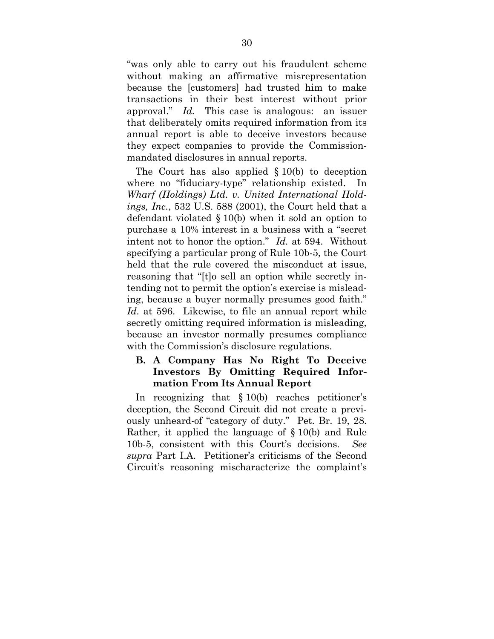"was only able to carry out his fraudulent scheme without making an affirmative misrepresentation because the [customers] had trusted him to make transactions in their best interest without prior approval." *Id.* This case is analogous: an issuer that deliberately omits required information from its annual report is able to deceive investors because they expect companies to provide the Commissionmandated disclosures in annual reports.

The Court has also applied § 10(b) to deception where no "fiduciary-type" relationship existed. In *Wharf (Holdings) Ltd. v. United International Holdings, Inc.*, 532 U.S. 588 (2001), the Court held that a defendant violated § 10(b) when it sold an option to purchase a 10% interest in a business with a "secret intent not to honor the option." *Id.* at 594. Without specifying a particular prong of Rule 10b-5, the Court held that the rule covered the misconduct at issue, reasoning that "[t]o sell an option while secretly intending not to permit the option's exercise is misleading, because a buyer normally presumes good faith." *Id.* at 596. Likewise, to file an annual report while secretly omitting required information is misleading, because an investor normally presumes compliance with the Commission's disclosure regulations.

## **B. A Company Has No Right To Deceive Investors By Omitting Required Information From Its Annual Report**

In recognizing that § 10(b) reaches petitioner's deception, the Second Circuit did not create a previously unheard-of "category of duty." Pet. Br. 19, 28. Rather, it applied the language of § 10(b) and Rule 10b-5, consistent with this Court's decisions. *See supra* Part I.A. Petitioner's criticisms of the Second Circuit's reasoning mischaracterize the complaint's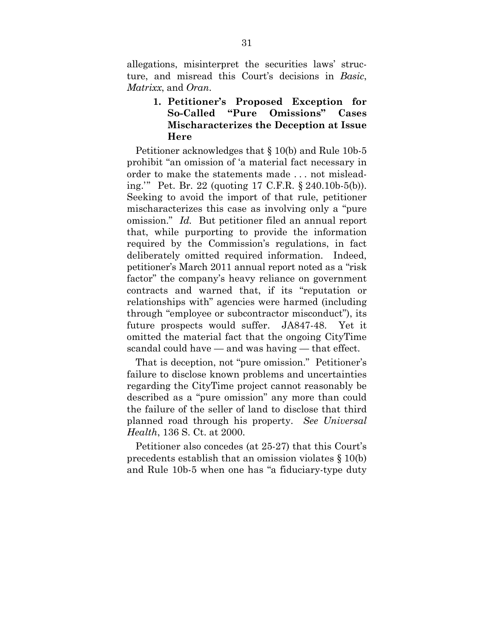allegations, misinterpret the securities laws' structure, and misread this Court's decisions in *Basic*, *Matrixx*, and *Oran*.

## **1. Petitioner's Proposed Exception for So-Called "Pure Omissions" Cases Mischaracterizes the Deception at Issue Here**

Petitioner acknowledges that § 10(b) and Rule 10b-5 prohibit "an omission of 'a material fact necessary in order to make the statements made . . . not misleading.'" Pet. Br. 22 (quoting 17 C.F.R. § 240.10b-5(b)). Seeking to avoid the import of that rule, petitioner mischaracterizes this case as involving only a "pure omission." *Id.* But petitioner filed an annual report that, while purporting to provide the information required by the Commission's regulations, in fact deliberately omitted required information. Indeed, petitioner's March 2011 annual report noted as a "risk factor" the company's heavy reliance on government contracts and warned that, if its "reputation or relationships with" agencies were harmed (including through "employee or subcontractor misconduct"), its future prospects would suffer. JA847-48. Yet it omitted the material fact that the ongoing CityTime scandal could have — and was having — that effect.

That is deception, not "pure omission." Petitioner's failure to disclose known problems and uncertainties regarding the CityTime project cannot reasonably be described as a "pure omission" any more than could the failure of the seller of land to disclose that third planned road through his property. *See Universal Health*, 136 S. Ct. at 2000.

Petitioner also concedes (at 25-27) that this Court's precedents establish that an omission violates § 10(b) and Rule 10b-5 when one has "a fiduciary-type duty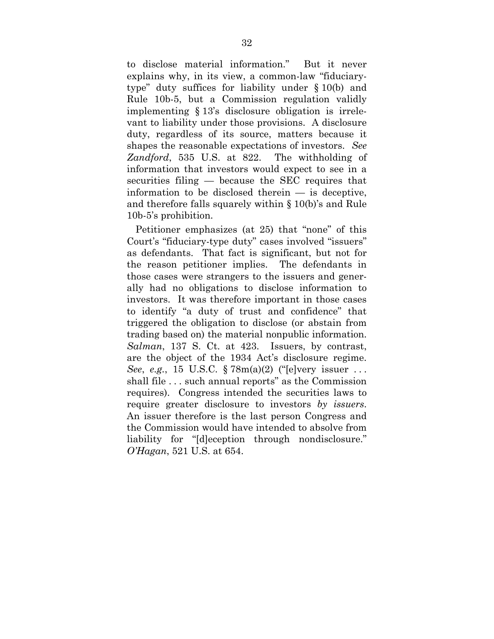to disclose material information." But it never explains why, in its view, a common-law "fiduciarytype" duty suffices for liability under § 10(b) and Rule 10b-5, but a Commission regulation validly implementing § 13's disclosure obligation is irrelevant to liability under those provisions. A disclosure duty, regardless of its source, matters because it shapes the reasonable expectations of investors. *See Zandford*, 535 U.S. at 822. The withholding of information that investors would expect to see in a securities filing — because the SEC requires that information to be disclosed therein — is deceptive, and therefore falls squarely within § 10(b)'s and Rule 10b-5's prohibition.

Petitioner emphasizes (at 25) that "none" of this Court's "fiduciary-type duty" cases involved "issuers" as defendants. That fact is significant, but not for the reason petitioner implies. The defendants in those cases were strangers to the issuers and generally had no obligations to disclose information to investors. It was therefore important in those cases to identify "a duty of trust and confidence" that triggered the obligation to disclose (or abstain from trading based on) the material nonpublic information. *Salman*, 137 S. Ct. at 423. Issuers, by contrast, are the object of the 1934 Act's disclosure regime. *See*, *e.g.*, 15 U.S.C. § 78m(a)(2) ("[e]very issuer . . . shall file . . . such annual reports" as the Commission requires). Congress intended the securities laws to require greater disclosure to investors *by issuers*. An issuer therefore is the last person Congress and the Commission would have intended to absolve from liability for "[d]eception through nondisclosure." *O'Hagan*, 521 U.S. at 654.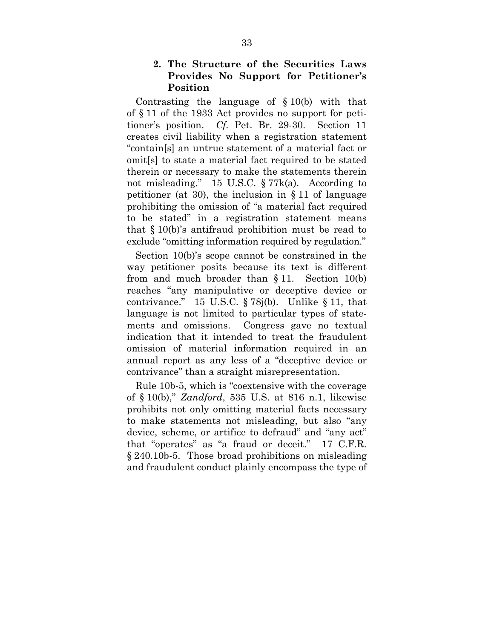### **2. The Structure of the Securities Laws Provides No Support for Petitioner's Position**

Contrasting the language of  $\S 10(b)$  with that of § 11 of the 1933 Act provides no support for petitioner's position. *Cf.* Pet. Br. 29-30. Section 11 creates civil liability when a registration statement "contain[s] an untrue statement of a material fact or omit[s] to state a material fact required to be stated therein or necessary to make the statements therein not misleading." 15 U.S.C. § 77k(a). According to petitioner (at 30), the inclusion in  $\S 11$  of language prohibiting the omission of "a material fact required to be stated" in a registration statement means that § 10(b)'s antifraud prohibition must be read to exclude "omitting information required by regulation."

Section 10(b)'s scope cannot be constrained in the way petitioner posits because its text is different from and much broader than § 11. Section 10(b) reaches "any manipulative or deceptive device or contrivance." 15 U.S.C.  $\S 78j(b)$ . Unlike  $\S 11$ , that language is not limited to particular types of statements and omissions. Congress gave no textual indication that it intended to treat the fraudulent omission of material information required in an annual report as any less of a "deceptive device or contrivance" than a straight misrepresentation.

Rule 10b-5, which is "coextensive with the coverage of § 10(b)," *Zandford*, 535 U.S. at 816 n.1, likewise prohibits not only omitting material facts necessary to make statements not misleading, but also "any device, scheme, or artifice to defraud" and "any act" that "operates" as "a fraud or deceit." 17 C.F.R. § 240.10b-5. Those broad prohibitions on misleading and fraudulent conduct plainly encompass the type of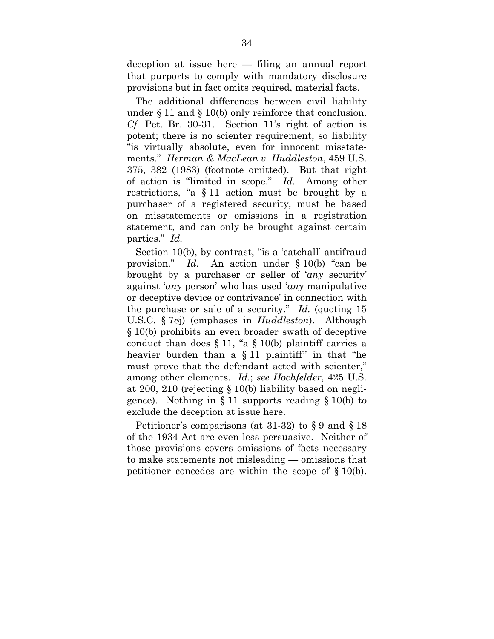deception at issue here — filing an annual report that purports to comply with mandatory disclosure provisions but in fact omits required, material facts.

The additional differences between civil liability under § 11 and § 10(b) only reinforce that conclusion. *Cf.* Pet. Br. 30-31. Section 11's right of action is potent; there is no scienter requirement, so liability "is virtually absolute, even for innocent misstatements." *Herman & MacLean v. Huddleston*, 459 U.S. 375, 382 (1983) (footnote omitted). But that right of action is "limited in scope." *Id.* Among other restrictions, "a § 11 action must be brought by a purchaser of a registered security, must be based on misstatements or omissions in a registration statement, and can only be brought against certain parties." *Id.*

Section 10(b), by contrast, "is a 'catchall' antifraud provision." *Id.* An action under § 10(b) "can be brought by a purchaser or seller of '*any* security' against '*any* person' who has used '*any* manipulative or deceptive device or contrivance' in connection with the purchase or sale of a security." *Id.* (quoting 15 U.S.C. § 78j) (emphases in *Huddleston*). Although § 10(b) prohibits an even broader swath of deceptive conduct than does  $\S 11$ , "a  $\S 10(b)$  plaintiff carries a heavier burden than a § 11 plaintiff" in that "he must prove that the defendant acted with scienter," among other elements. *Id.*; *see Hochfelder*, 425 U.S. at 200, 210 (rejecting § 10(b) liability based on negligence). Nothing in  $\S 11$  supports reading  $\S 10(b)$  to exclude the deception at issue here.

Petitioner's comparisons (at 31-32) to § 9 and § 18 of the 1934 Act are even less persuasive. Neither of those provisions covers omissions of facts necessary to make statements not misleading — omissions that petitioner concedes are within the scope of § 10(b).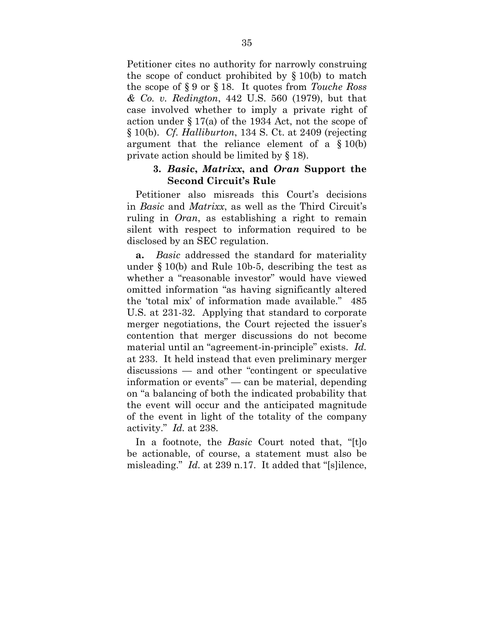Petitioner cites no authority for narrowly construing the scope of conduct prohibited by § 10(b) to match the scope of § 9 or § 18. It quotes from *Touche Ross & Co. v. Redington*, 442 U.S. 560 (1979), but that case involved whether to imply a private right of action under § 17(a) of the 1934 Act, not the scope of § 10(b). *Cf. Halliburton*, 134 S. Ct. at 2409 (rejecting argument that the reliance element of a § 10(b) private action should be limited by § 18).

#### **3.** *Basic***,** *Matrixx***, and** *Oran* **Support the Second Circuit's Rule**

Petitioner also misreads this Court's decisions in *Basic* and *Matrixx*, as well as the Third Circuit's ruling in *Oran*, as establishing a right to remain silent with respect to information required to be disclosed by an SEC regulation.

**a.** *Basic* addressed the standard for materiality under § 10(b) and Rule 10b-5, describing the test as whether a "reasonable investor" would have viewed omitted information "as having significantly altered the 'total mix' of information made available." 485 U.S. at 231-32. Applying that standard to corporate merger negotiations, the Court rejected the issuer's contention that merger discussions do not become material until an "agreement-in-principle" exists. *Id.* at 233. It held instead that even preliminary merger discussions — and other "contingent or speculative information or events" — can be material, depending on "a balancing of both the indicated probability that the event will occur and the anticipated magnitude of the event in light of the totality of the company activity." *Id.* at 238.

In a footnote, the *Basic* Court noted that, "[t]o be actionable, of course, a statement must also be misleading." *Id.* at 239 n.17. It added that "[s]ilence,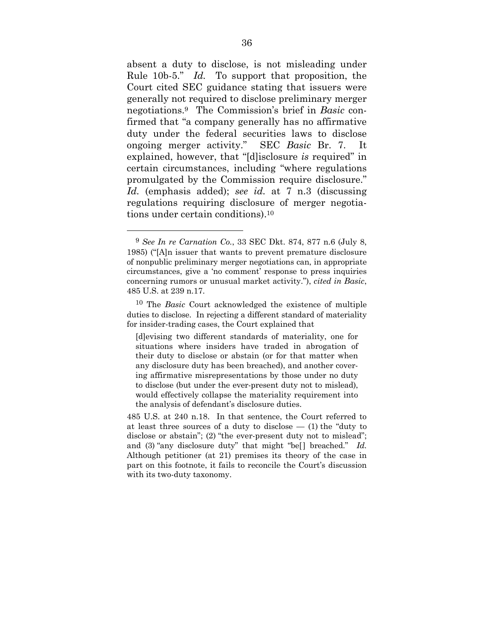absent a duty to disclose, is not misleading under Rule 10b-5." *Id.* To support that proposition, the Court cited SEC guidance stating that issuers were generally not required to disclose preliminary merger negotiations.9 The Commission's brief in *Basic* confirmed that "a company generally has no affirmative duty under the federal securities laws to disclose ongoing merger activity." SEC *Basic* Br. 7. It explained, however, that "[d]isclosure *is* required" in certain circumstances, including "where regulations promulgated by the Commission require disclosure." *Id.* (emphasis added); *see id.* at 7 n.3 (discussing regulations requiring disclosure of merger negotiations under certain conditions).10

1

<sup>9</sup> *See In re Carnation Co.*, 33 SEC Dkt. 874, 877 n.6 (July 8, 1985) ("[A]n issuer that wants to prevent premature disclosure of nonpublic preliminary merger negotiations can, in appropriate circumstances, give a 'no comment' response to press inquiries concerning rumors or unusual market activity."), *cited in Basic*, 485 U.S. at 239 n.17.

<sup>10</sup> The *Basic* Court acknowledged the existence of multiple duties to disclose. In rejecting a different standard of materiality for insider-trading cases, the Court explained that

<sup>[</sup>d]evising two different standards of materiality, one for situations where insiders have traded in abrogation of their duty to disclose or abstain (or for that matter when any disclosure duty has been breached), and another covering affirmative misrepresentations by those under no duty to disclose (but under the ever-present duty not to mislead), would effectively collapse the materiality requirement into the analysis of defendant's disclosure duties.

<sup>485</sup> U.S. at 240 n.18. In that sentence, the Court referred to at least three sources of a duty to disclose  $-$  (1) the "duty to disclose or abstain"; (2) "the ever-present duty not to mislead"; and (3) "any disclosure duty" that might "be[] breached." *Id.* Although petitioner (at 21) premises its theory of the case in part on this footnote, it fails to reconcile the Court's discussion with its two-duty taxonomy.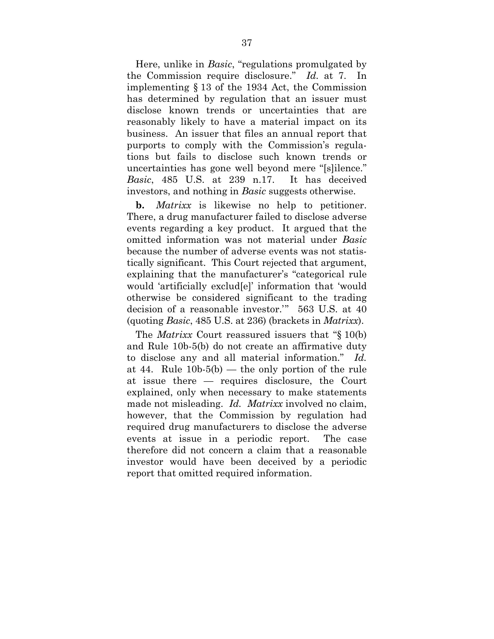Here, unlike in *Basic*, "regulations promulgated by the Commission require disclosure." *Id.* at 7. In implementing § 13 of the 1934 Act, the Commission has determined by regulation that an issuer must disclose known trends or uncertainties that are reasonably likely to have a material impact on its business. An issuer that files an annual report that purports to comply with the Commission's regulations but fails to disclose such known trends or uncertainties has gone well beyond mere "[s]ilence." *Basic*, 485 U.S. at 239 n.17. It has deceived investors, and nothing in *Basic* suggests otherwise.

**b.** *Matrixx* is likewise no help to petitioner. There, a drug manufacturer failed to disclose adverse events regarding a key product. It argued that the omitted information was not material under *Basic* because the number of adverse events was not statistically significant. This Court rejected that argument, explaining that the manufacturer's "categorical rule would 'artificially exclud[e]' information that 'would otherwise be considered significant to the trading decision of a reasonable investor.'" 563 U.S. at 40 (quoting *Basic*, 485 U.S. at 236) (brackets in *Matrixx*).

The *Matrixx* Court reassured issuers that "§ 10(b) and Rule 10b-5(b) do not create an affirmative duty to disclose any and all material information." *Id.* at 44. Rule  $10b-5(b)$  — the only portion of the rule at issue there — requires disclosure, the Court explained, only when necessary to make statements made not misleading. *Id. Matrixx* involved no claim, however, that the Commission by regulation had required drug manufacturers to disclose the adverse events at issue in a periodic report. The case therefore did not concern a claim that a reasonable investor would have been deceived by a periodic report that omitted required information.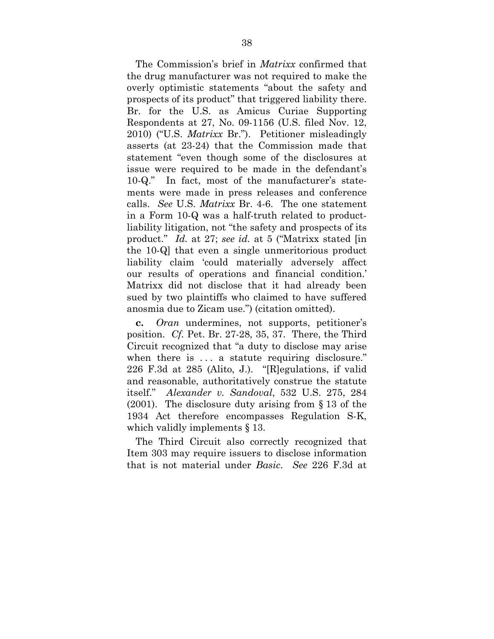The Commission's brief in *Matrixx* confirmed that the drug manufacturer was not required to make the overly optimistic statements "about the safety and prospects of its product" that triggered liability there. Br. for the U.S. as Amicus Curiae Supporting Respondents at 27, No. 09-1156 (U.S. filed Nov. 12, 2010) ("U.S. *Matrixx* Br."). Petitioner misleadingly asserts (at 23-24) that the Commission made that statement "even though some of the disclosures at issue were required to be made in the defendant's 10-Q." In fact, most of the manufacturer's statements were made in press releases and conference calls. *See* U.S. *Matrixx* Br. 4-6. The one statement in a Form 10-Q was a half-truth related to productliability litigation, not "the safety and prospects of its product." *Id.* at 27; *see id.* at 5 ("Matrixx stated [in the 10-Q] that even a single unmeritorious product liability claim 'could materially adversely affect our results of operations and financial condition.' Matrixx did not disclose that it had already been sued by two plaintiffs who claimed to have suffered anosmia due to Zicam use.") (citation omitted).

**c.** *Oran* undermines, not supports, petitioner's position. *Cf.* Pet. Br. 27-28, 35, 37. There, the Third Circuit recognized that "a duty to disclose may arise when there is ... a statute requiring disclosure." 226 F.3d at 285 (Alito, J.). "[R]egulations, if valid and reasonable, authoritatively construe the statute itself." *Alexander v. Sandoval*, 532 U.S. 275, 284 (2001). The disclosure duty arising from § 13 of the 1934 Act therefore encompasses Regulation S-K, which validly implements § 13.

The Third Circuit also correctly recognized that Item 303 may require issuers to disclose information that is not material under *Basic*. *See* 226 F.3d at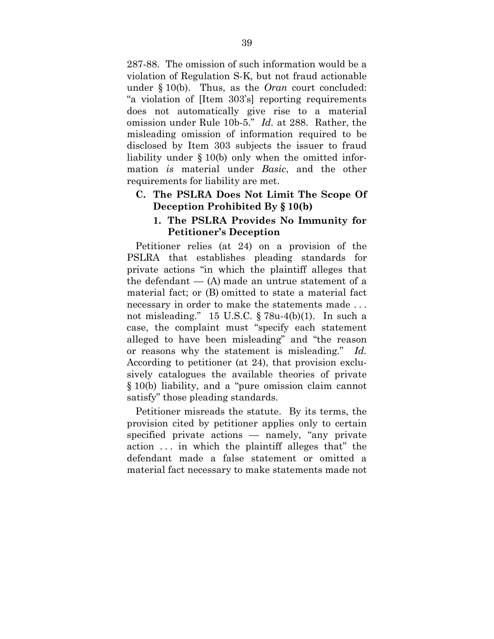287-88. The omission of such information would be a violation of Regulation S-K, but not fraud actionable under § 10(b). Thus, as the *Oran* court concluded: "a violation of [Item 303's] reporting requirements does not automatically give rise to a material omission under Rule 10b-5." *Id.* at 288. Rather, the misleading omission of information required to be disclosed by Item 303 subjects the issuer to fraud liability under § 10(b) only when the omitted information *is* material under *Basic*, and the other requirements for liability are met.

## **C. The PSLRA Does Not Limit The Scope Of Deception Prohibited By § 10(b)**

### **1. The PSLRA Provides No Immunity for Petitioner's Deception**

Petitioner relies (at 24) on a provision of the PSLRA that establishes pleading standards for private actions "in which the plaintiff alleges that the defendant  $-$  (A) made an untrue statement of a material fact; or (B) omitted to state a material fact necessary in order to make the statements made . . . not misleading." 15 U.S.C. § 78u-4(b)(1). In such a case, the complaint must "specify each statement alleged to have been misleading" and "the reason or reasons why the statement is misleading." *Id.* According to petitioner (at 24), that provision exclusively catalogues the available theories of private § 10(b) liability, and a "pure omission claim cannot satisfy" those pleading standards.

Petitioner misreads the statute. By its terms, the provision cited by petitioner applies only to certain specified private actions — namely, "any private action . . . in which the plaintiff alleges that" the defendant made a false statement or omitted a material fact necessary to make statements made not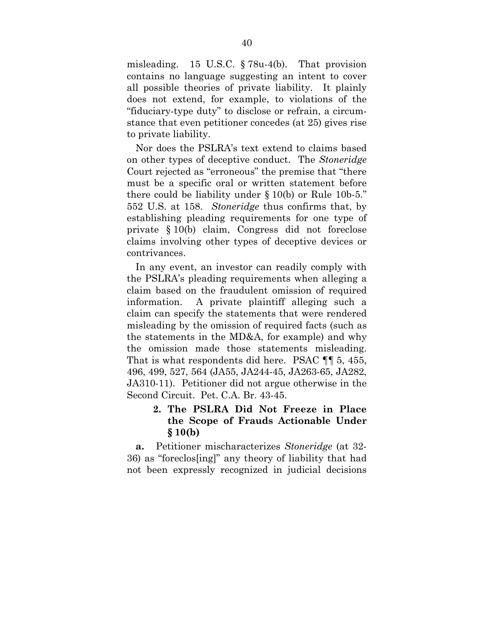misleading. 15 U.S.C. § 78u-4(b). That provision contains no language suggesting an intent to cover all possible theories of private liability. It plainly does not extend, for example, to violations of the "fiduciary-type duty" to disclose or refrain, a circumstance that even petitioner concedes (at 25) gives rise to private liability.

Nor does the PSLRA's text extend to claims based on other types of deceptive conduct. The *Stoneridge* Court rejected as "erroneous" the premise that "there must be a specific oral or written statement before there could be liability under § 10(b) or Rule 10b-5." 552 U.S. at 158. *Stoneridge* thus confirms that, by establishing pleading requirements for one type of private § 10(b) claim, Congress did not foreclose claims involving other types of deceptive devices or contrivances.

In any event, an investor can readily comply with the PSLRA's pleading requirements when alleging a claim based on the fraudulent omission of required information. A private plaintiff alleging such a claim can specify the statements that were rendered misleading by the omission of required facts (such as the statements in the MD&A, for example) and why the omission made those statements misleading. That is what respondents did here. PSAC ¶¶ 5, 455, 496, 499, 527, 564 (JA55, JA244-45, JA263-65, JA282, JA310-11). Petitioner did not argue otherwise in the Second Circuit. Pet. C.A. Br. 43-45.

# **2. The PSLRA Did Not Freeze in Place the Scope of Frauds Actionable Under § 10(b)**

**a.** Petitioner mischaracterizes *Stoneridge* (at 32- 36) as "foreclos[ing]" any theory of liability that had not been expressly recognized in judicial decisions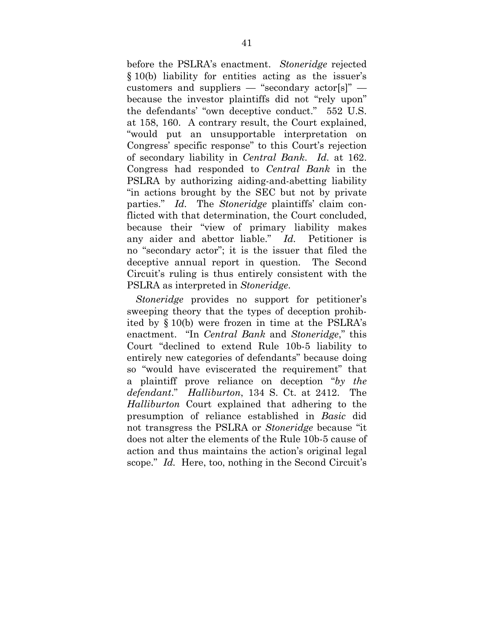before the PSLRA's enactment. *Stoneridge* rejected § 10(b) liability for entities acting as the issuer's customers and suppliers — "secondary actor[s]" because the investor plaintiffs did not "rely upon" the defendants' "own deceptive conduct." 552 U.S. at 158, 160. A contrary result, the Court explained, "would put an unsupportable interpretation on Congress' specific response" to this Court's rejection of secondary liability in *Central Bank*. *Id.* at 162. Congress had responded to *Central Bank* in the PSLRA by authorizing aiding-and-abetting liability "in actions brought by the SEC but not by private parties." *Id.* The *Stoneridge* plaintiffs' claim conflicted with that determination, the Court concluded, because their "view of primary liability makes any aider and abettor liable." *Id.* Petitioner is no "secondary actor"; it is the issuer that filed the deceptive annual report in question. The Second Circuit's ruling is thus entirely consistent with the PSLRA as interpreted in *Stoneridge*.

*Stoneridge* provides no support for petitioner's sweeping theory that the types of deception prohibited by § 10(b) were frozen in time at the PSLRA's enactment. "In *Central Bank* and *Stoneridge*," this Court "declined to extend Rule 10b-5 liability to entirely new categories of defendants" because doing so "would have eviscerated the requirement" that a plaintiff prove reliance on deception "*by the defendant*." *Halliburton*, 134 S. Ct. at 2412. The *Halliburton* Court explained that adhering to the presumption of reliance established in *Basic* did not transgress the PSLRA or *Stoneridge* because "it does not alter the elements of the Rule 10b-5 cause of action and thus maintains the action's original legal scope." *Id.* Here, too, nothing in the Second Circuit's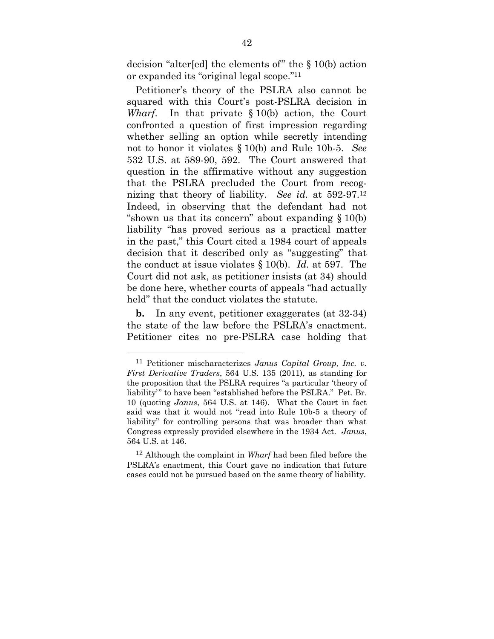decision "alter[ed] the elements of" the § 10(b) action or expanded its "original legal scope."11

Petitioner's theory of the PSLRA also cannot be squared with this Court's post-PSLRA decision in *Wharf*. In that private § 10(b) action, the Court confronted a question of first impression regarding whether selling an option while secretly intending not to honor it violates § 10(b) and Rule 10b-5. *See*  532 U.S. at 589-90, 592. The Court answered that question in the affirmative without any suggestion that the PSLRA precluded the Court from recognizing that theory of liability. *See id.* at 592-97.12 Indeed, in observing that the defendant had not "shown us that its concern" about expanding  $\S 10(b)$ liability "has proved serious as a practical matter in the past," this Court cited a 1984 court of appeals decision that it described only as "suggesting" that the conduct at issue violates § 10(b). *Id.* at 597. The Court did not ask, as petitioner insists (at 34) should be done here, whether courts of appeals "had actually held" that the conduct violates the statute.

**b.** In any event, petitioner exaggerates (at 32-34) the state of the law before the PSLRA's enactment. Petitioner cites no pre-PSLRA case holding that

1

<sup>11</sup> Petitioner mischaracterizes *Janus Capital Group, Inc. v. First Derivative Traders*, 564 U.S. 135 (2011), as standing for the proposition that the PSLRA requires "a particular 'theory of liability'" to have been "established before the PSLRA." Pet. Br. 10 (quoting *Janus*, 564 U.S. at 146). What the Court in fact said was that it would not "read into Rule 10b-5 a theory of liability" for controlling persons that was broader than what Congress expressly provided elsewhere in the 1934 Act. *Janus*, 564 U.S. at 146.

<sup>12</sup> Although the complaint in *Wharf* had been filed before the PSLRA's enactment, this Court gave no indication that future cases could not be pursued based on the same theory of liability.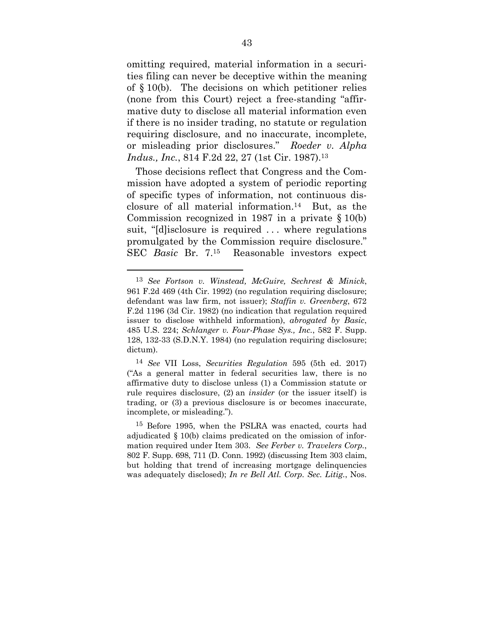omitting required, material information in a securities filing can never be deceptive within the meaning of § 10(b). The decisions on which petitioner relies (none from this Court) reject a free-standing "affirmative duty to disclose all material information even if there is no insider trading, no statute or regulation requiring disclosure, and no inaccurate, incomplete, or misleading prior disclosures." *Roeder v. Alpha Indus., Inc.*, 814 F.2d 22, 27 (1st Cir. 1987).<sup>13</sup>

Those decisions reflect that Congress and the Commission have adopted a system of periodic reporting of specific types of information, not continuous disclosure of all material information.14 But, as the Commission recognized in 1987 in a private § 10(b) suit, "[d]isclosure is required . . . where regulations promulgated by the Commission require disclosure." SEC *Basic* Br. 7.15 Reasonable investors expect

1

14 *See* VII Loss, *Securities Regulation* 595 (5th ed. 2017) ("As a general matter in federal securities law, there is no affirmative duty to disclose unless (1) a Commission statute or rule requires disclosure, (2) an *insider* (or the issuer itself) is trading, or (3) a previous disclosure is or becomes inaccurate, incomplete, or misleading.").

15 Before 1995, when the PSLRA was enacted, courts had adjudicated § 10(b) claims predicated on the omission of information required under Item 303. *See Ferber v. Travelers Corp.*, 802 F. Supp. 698, 711 (D. Conn. 1992) (discussing Item 303 claim, but holding that trend of increasing mortgage delinquencies was adequately disclosed); *In re Bell Atl. Corp. Sec. Litig.*, Nos.

<sup>13</sup> *See Fortson v. Winstead, McGuire, Sechrest & Minick*, 961 F.2d 469 (4th Cir. 1992) (no regulation requiring disclosure; defendant was law firm, not issuer); *Staffin v. Greenberg*, 672 F.2d 1196 (3d Cir. 1982) (no indication that regulation required issuer to disclose withheld information), *abrogated by Basic*, 485 U.S. 224; *Schlanger v. Four-Phase Sys., Inc.*, 582 F. Supp. 128, 132-33 (S.D.N.Y. 1984) (no regulation requiring disclosure; dictum).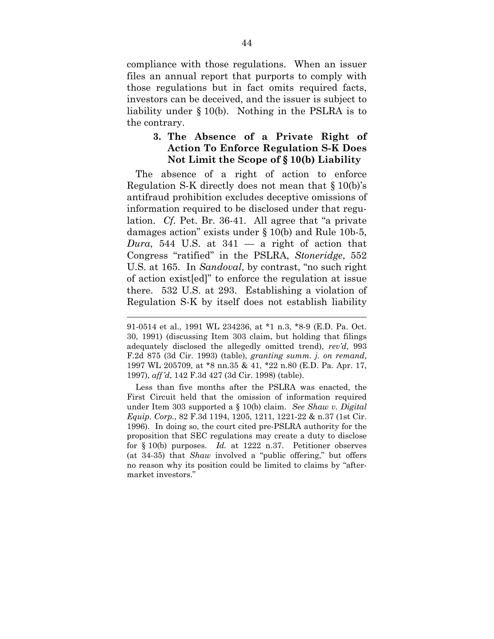compliance with those regulations. When an issuer files an annual report that purports to comply with those regulations but in fact omits required facts, investors can be deceived, and the issuer is subject to liability under § 10(b). Nothing in the PSLRA is to the contrary.

### **3. The Absence of a Private Right of Action To Enforce Regulation S-K Does Not Limit the Scope of § 10(b) Liability**

The absence of a right of action to enforce Regulation S-K directly does not mean that  $\S 10(b)$ 's antifraud prohibition excludes deceptive omissions of information required to be disclosed under that regulation. *Cf.* Pet. Br. 36-41. All agree that "a private damages action" exists under § 10(b) and Rule 10b-5, *Dura*, 544 U.S. at  $341 - a$  right of action that Congress "ratified" in the PSLRA, *Stoneridge*, 552 U.S. at 165. In *Sandoval*, by contrast, "no such right of action exist[ed]" to enforce the regulation at issue there. 532 U.S. at 293. Establishing a violation of Regulation S-K by itself does not establish liability

 $\overline{a}$ 

Less than five months after the PSLRA was enacted, the First Circuit held that the omission of information required under Item 303 supported a § 10(b) claim. *See Shaw v. Digital Equip. Corp.*, 82 F.3d 1194, 1205, 1211, 1221-22 & n.37 (1st Cir. 1996). In doing so, the court cited pre-PSLRA authority for the proposition that SEC regulations may create a duty to disclose for § 10(b) purposes. *Id.* at 1222 n.37. Petitioner observes (at 34-35) that *Shaw* involved a "public offering," but offers no reason why its position could be limited to claims by "aftermarket investors."

<sup>91-0514</sup> et al., 1991 WL 234236, at \*1 n.3, \*8-9 (E.D. Pa. Oct. 30, 1991) (discussing Item 303 claim, but holding that filings adequately disclosed the allegedly omitted trend), *rev'd*, 993 F.2d 875 (3d Cir. 1993) (table), *granting summ. j. on remand*, 1997 WL 205709, at \*8 nn.35 & 41, \*22 n.80 (E.D. Pa. Apr. 17, 1997), *aff'd*, 142 F.3d 427 (3d Cir. 1998) (table).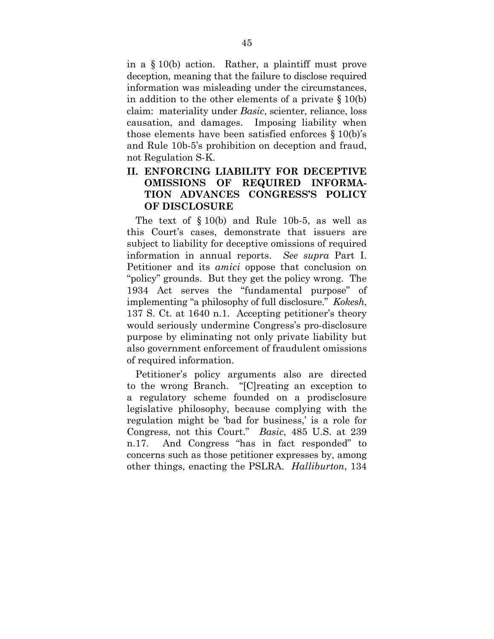in a § 10(b) action. Rather, a plaintiff must prove deception, meaning that the failure to disclose required information was misleading under the circumstances, in addition to the other elements of a private § 10(b) claim: materiality under *Basic*, scienter, reliance, loss causation, and damages. Imposing liability when those elements have been satisfied enforces § 10(b)'s and Rule 10b-5's prohibition on deception and fraud, not Regulation S-K.

# **II. ENFORCING LIABILITY FOR DECEPTIVE OMISSIONS OF REQUIRED INFORMA-TION ADVANCES CONGRESS'S POLICY OF DISCLOSURE**

The text of § 10(b) and Rule 10b-5, as well as this Court's cases, demonstrate that issuers are subject to liability for deceptive omissions of required information in annual reports. *See supra* Part I. Petitioner and its *amici* oppose that conclusion on "policy" grounds. But they get the policy wrong. The 1934 Act serves the "fundamental purpose" of implementing "a philosophy of full disclosure." *Kokesh*, 137 S. Ct. at 1640 n.1. Accepting petitioner's theory would seriously undermine Congress's pro-disclosure purpose by eliminating not only private liability but also government enforcement of fraudulent omissions of required information.

Petitioner's policy arguments also are directed to the wrong Branch. "[C]reating an exception to a regulatory scheme founded on a prodisclosure legislative philosophy, because complying with the regulation might be 'bad for business,' is a role for Congress, not this Court." *Basic*, 485 U.S. at 239 n.17. And Congress "has in fact responded" to concerns such as those petitioner expresses by, among other things, enacting the PSLRA. *Halliburton*, 134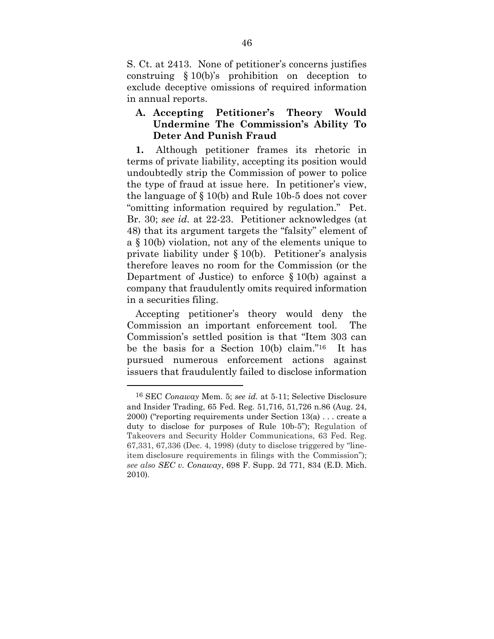S. Ct. at 2413. None of petitioner's concerns justifies construing § 10(b)'s prohibition on deception to exclude deceptive omissions of required information in annual reports.

## **A. Accepting Petitioner's Theory Would Undermine The Commission's Ability To Deter And Punish Fraud**

**1.** Although petitioner frames its rhetoric in terms of private liability, accepting its position would undoubtedly strip the Commission of power to police the type of fraud at issue here. In petitioner's view, the language of § 10(b) and Rule 10b-5 does not cover "omitting information required by regulation." Pet. Br. 30; *see id.* at 22-23. Petitioner acknowledges (at 48) that its argument targets the "falsity" element of a § 10(b) violation, not any of the elements unique to private liability under § 10(b). Petitioner's analysis therefore leaves no room for the Commission (or the Department of Justice) to enforce § 10(b) against a company that fraudulently omits required information in a securities filing.

Accepting petitioner's theory would deny the Commission an important enforcement tool. The Commission's settled position is that "Item 303 can be the basis for a Section 10(b) claim."16 It has pursued numerous enforcement actions against issuers that fraudulently failed to disclose information

<sup>16</sup> SEC *Conaway* Mem. 5; *see id.* at 5-11; Selective Disclosure and Insider Trading, 65 Fed. Reg. 51,716, 51,726 n.86 (Aug. 24, 2000) ("reporting requirements under Section 13(a) . . . create a duty to disclose for purposes of Rule 10b-5"); Regulation of Takeovers and Security Holder Communications, 63 Fed. Reg. 67,331, 67,336 (Dec. 4, 1998) (duty to disclose triggered by "lineitem disclosure requirements in filings with the Commission"); *see also SEC v. Conaway*, 698 F. Supp. 2d 771, 834 (E.D. Mich. 2010).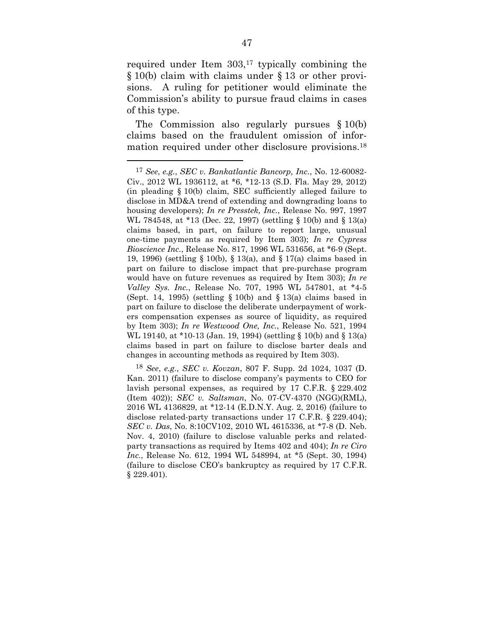required under Item 303,<sup>17</sup> typically combining the § 10(b) claim with claims under § 13 or other provisions. A ruling for petitioner would eliminate the Commission's ability to pursue fraud claims in cases of this type.

The Commission also regularly pursues § 10(b) claims based on the fraudulent omission of information required under other disclosure provisions.18

1

<sup>17</sup> *See*, *e.g.*, *SEC v. Bankatlantic Bancorp, Inc.*, No. 12-60082- Civ., 2012 WL 1936112, at \*6, \*12-13 (S.D. Fla. May 29, 2012) (in pleading § 10(b) claim, SEC sufficiently alleged failure to disclose in MD&A trend of extending and downgrading loans to housing developers); *In re Presstek, Inc.*, Release No. 997, 1997 WL 784548, at \*13 (Dec. 22, 1997) (settling § 10(b) and § 13(a) claims based, in part, on failure to report large, unusual one-time payments as required by Item 303); *In re Cypress Bioscience Inc.*, Release No. 817, 1996 WL 531656, at \*6-9 (Sept. 19, 1996) (settling § 10(b), § 13(a), and § 17(a) claims based in part on failure to disclose impact that pre-purchase program would have on future revenues as required by Item 303); *In re Valley Sys. Inc.*, Release No. 707, 1995 WL 547801, at \*4-5 (Sept. 14, 1995) (settling § 10(b) and § 13(a) claims based in part on failure to disclose the deliberate underpayment of workers compensation expenses as source of liquidity, as required by Item 303); *In re Westwood One, Inc.*, Release No. 521, 1994 WL 19140, at \*10-13 (Jan. 19, 1994) (settling § 10(b) and § 13(a) claims based in part on failure to disclose barter deals and changes in accounting methods as required by Item 303).

<sup>18</sup> *See*, *e.g.*, *SEC v. Kovzan*, 807 F. Supp. 2d 1024, 1037 (D. Kan. 2011) (failure to disclose company's payments to CEO for lavish personal expenses, as required by 17 C.F.R. § 229.402 (Item 402)); *SEC v. Saltsman*, No. 07-CV-4370 (NGG)(RML), 2016 WL 4136829, at \*12-14 (E.D.N.Y. Aug. 2, 2016) (failure to disclose related-party transactions under 17 C.F.R. § 229.404); *SEC v. Das*, No. 8:10CV102, 2010 WL 4615336, at \*7-8 (D. Neb. Nov. 4, 2010) (failure to disclose valuable perks and relatedparty transactions as required by Items 402 and 404); *In re Ciro Inc.*, Release No. 612, 1994 WL 548994, at \*5 (Sept. 30, 1994) (failure to disclose CEO's bankruptcy as required by 17 C.F.R. § 229.401).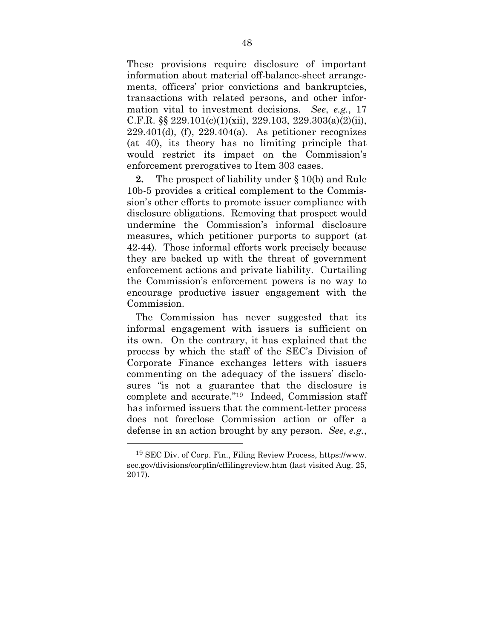These provisions require disclosure of important information about material off-balance-sheet arrangements, officers' prior convictions and bankruptcies, transactions with related persons, and other information vital to investment decisions. *See*, *e.g.*, 17 C.F.R. §§ 229.101(c)(1)(xii), 229.103, 229.303(a)(2)(ii),  $229.401(d)$ , (f),  $229.404(a)$ . As petitioner recognizes (at 40), its theory has no limiting principle that would restrict its impact on the Commission's enforcement prerogatives to Item 303 cases.

**2.** The prospect of liability under § 10(b) and Rule 10b-5 provides a critical complement to the Commission's other efforts to promote issuer compliance with disclosure obligations. Removing that prospect would undermine the Commission's informal disclosure measures, which petitioner purports to support (at 42-44). Those informal efforts work precisely because they are backed up with the threat of government enforcement actions and private liability. Curtailing the Commission's enforcement powers is no way to encourage productive issuer engagement with the Commission.

The Commission has never suggested that its informal engagement with issuers is sufficient on its own. On the contrary, it has explained that the process by which the staff of the SEC's Division of Corporate Finance exchanges letters with issuers commenting on the adequacy of the issuers' disclosures "is not a guarantee that the disclosure is complete and accurate."19 Indeed, Commission staff has informed issuers that the comment-letter process does not foreclose Commission action or offer a defense in an action brought by any person. *See*, *e.g.*,

1

<sup>19</sup> SEC Div. of Corp. Fin., Filing Review Process, https://www. sec.gov/divisions/corpfin/cffilingreview.htm (last visited Aug. 25, 2017).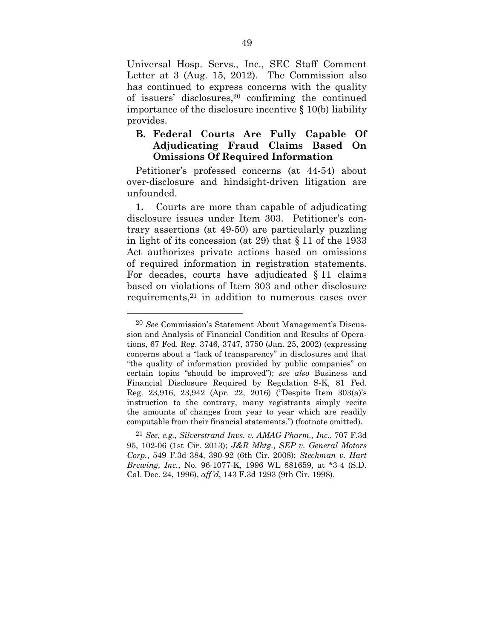Universal Hosp. Servs., Inc., SEC Staff Comment Letter at 3 (Aug. 15, 2012). The Commission also has continued to express concerns with the quality of issuers' disclosures,20 confirming the continued importance of the disclosure incentive § 10(b) liability provides.

### **B. Federal Courts Are Fully Capable Of Adjudicating Fraud Claims Based On Omissions Of Required Information**

Petitioner's professed concerns (at 44-54) about over-disclosure and hindsight-driven litigation are unfounded.

**1.** Courts are more than capable of adjudicating disclosure issues under Item 303. Petitioner's contrary assertions (at 49-50) are particularly puzzling in light of its concession (at 29) that § 11 of the 1933 Act authorizes private actions based on omissions of required information in registration statements. For decades, courts have adjudicated § 11 claims based on violations of Item 303 and other disclosure requirements,21 in addition to numerous cases over

<sup>20</sup> *See* Commission's Statement About Management's Discussion and Analysis of Financial Condition and Results of Operations, 67 Fed. Reg. 3746, 3747, 3750 (Jan. 25, 2002) (expressing concerns about a "lack of transparency" in disclosures and that "the quality of information provided by public companies" on certain topics "should be improved"); *see also* Business and Financial Disclosure Required by Regulation S-K, 81 Fed. Reg. 23,916, 23,942 (Apr. 22, 2016) ("Despite Item 303(a)'s instruction to the contrary, many registrants simply recite the amounts of changes from year to year which are readily computable from their financial statements.") (footnote omitted).

<sup>21</sup> *See*, *e.g.*, *Silverstrand Invs. v. AMAG Pharm., Inc.*, 707 F.3d 95, 102-06 (1st Cir. 2013); *J&R Mktg., SEP v. General Motors Corp.*, 549 F.3d 384, 390-92 (6th Cir. 2008); *Steckman v. Hart Brewing, Inc.*, No. 96-1077-K, 1996 WL 881659, at \*3-4 (S.D. Cal. Dec. 24, 1996), *aff'd*, 143 F.3d 1293 (9th Cir. 1998).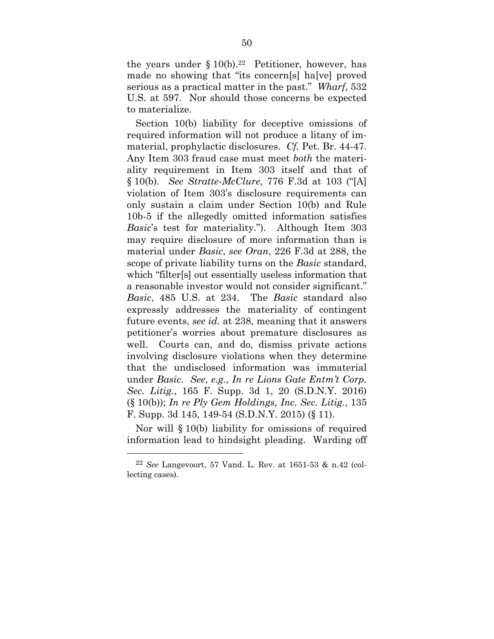the years under  $\S 10(b).^{22}$  Petitioner, however, has made no showing that "its concern[s] ha[ve] proved serious as a practical matter in the past." *Wharf*, 532 U.S. at 597. Nor should those concerns be expected to materialize.

Section 10(b) liability for deceptive omissions of required information will not produce a litany of immaterial, prophylactic disclosures. *Cf.* Pet. Br. 44-47. Any Item 303 fraud case must meet *both* the materiality requirement in Item 303 itself and that of § 10(b). *See Stratte-McClure*, 776 F.3d at 103 ("[A] violation of Item 303's disclosure requirements can only sustain a claim under Section 10(b) and Rule 10b-5 if the allegedly omitted information satisfies *Basic*'s test for materiality."). Although Item 303 may require disclosure of more information than is material under *Basic*, *see Oran*, 226 F.3d at 288, the scope of private liability turns on the *Basic* standard, which "filter[s] out essentially useless information that a reasonable investor would not consider significant." *Basic*, 485 U.S. at 234. The *Basic* standard also expressly addresses the materiality of contingent future events, *see id.* at 238, meaning that it answers petitioner's worries about premature disclosures as well. Courts can, and do, dismiss private actions involving disclosure violations when they determine that the undisclosed information was immaterial under *Basic*. *See*, *e.g.*, *In re Lions Gate Entm't Corp. Sec. Litig.*, 165 F. Supp. 3d 1, 20 (S.D.N.Y. 2016) (§ 10(b)); *In re Ply Gem Holdings, Inc. Sec. Litig.*, 135 F. Supp. 3d 145, 149-54 (S.D.N.Y. 2015) (§ 11).

Nor will § 10(b) liability for omissions of required information lead to hindsight pleading. Warding off

1

<sup>22</sup> *See* Langevoort, 57 Vand. L. Rev. at 1651-53 & n.42 (collecting cases).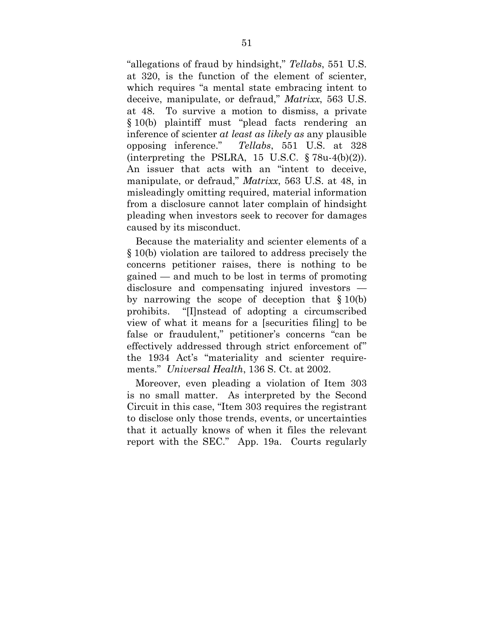"allegations of fraud by hindsight," *Tellabs*, 551 U.S. at 320, is the function of the element of scienter, which requires "a mental state embracing intent to deceive, manipulate, or defraud," *Matrixx*, 563 U.S. at 48. To survive a motion to dismiss, a private § 10(b) plaintiff must "plead facts rendering an inference of scienter *at least as likely as* any plausible opposing inference." *Tellabs*, 551 U.S. at 328 (interpreting the PSLRA, 15 U.S.C.  $\S 78u-4(b)(2)$ ). An issuer that acts with an "intent to deceive, manipulate, or defraud," *Matrixx*, 563 U.S. at 48, in misleadingly omitting required, material information from a disclosure cannot later complain of hindsight pleading when investors seek to recover for damages caused by its misconduct.

Because the materiality and scienter elements of a § 10(b) violation are tailored to address precisely the concerns petitioner raises, there is nothing to be gained — and much to be lost in terms of promoting disclosure and compensating injured investors by narrowing the scope of deception that § 10(b) prohibits. "[I]nstead of adopting a circumscribed view of what it means for a [securities filing] to be false or fraudulent," petitioner's concerns "can be effectively addressed through strict enforcement of" the 1934 Act's "materiality and scienter requirements." *Universal Health*, 136 S. Ct. at 2002.

Moreover, even pleading a violation of Item 303 is no small matter. As interpreted by the Second Circuit in this case, "Item 303 requires the registrant to disclose only those trends, events, or uncertainties that it actually knows of when it files the relevant report with the SEC." App. 19a. Courts regularly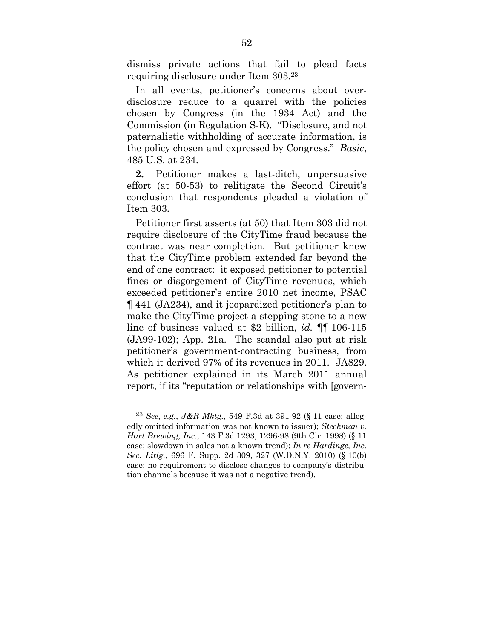dismiss private actions that fail to plead facts requiring disclosure under Item 303.23

In all events, petitioner's concerns about overdisclosure reduce to a quarrel with the policies chosen by Congress (in the 1934 Act) and the Commission (in Regulation S-K). "Disclosure, and not paternalistic withholding of accurate information, is the policy chosen and expressed by Congress." *Basic*, 485 U.S. at 234.

**2.** Petitioner makes a last-ditch, unpersuasive effort (at 50-53) to relitigate the Second Circuit's conclusion that respondents pleaded a violation of Item 303.

Petitioner first asserts (at 50) that Item 303 did not require disclosure of the CityTime fraud because the contract was near completion. But petitioner knew that the CityTime problem extended far beyond the end of one contract: it exposed petitioner to potential fines or disgorgement of CityTime revenues, which exceeded petitioner's entire 2010 net income, PSAC ¶ 441 (JA234), and it jeopardized petitioner's plan to make the CityTime project a stepping stone to a new line of business valued at \$2 billion, *id.* ¶¶ 106-115 (JA99-102); App. 21a. The scandal also put at risk petitioner's government-contracting business, from which it derived 97% of its revenues in 2011. JA829. As petitioner explained in its March 2011 annual report, if its "reputation or relationships with [govern-

<sup>23</sup> *See*, *e.g.*, *J&R Mktg.*, 549 F.3d at 391-92 (§ 11 case; allegedly omitted information was not known to issuer); *Steckman v. Hart Brewing, Inc.*, 143 F.3d 1293, 1296-98 (9th Cir. 1998) (§ 11 case; slowdown in sales not a known trend); *In re Hardinge, Inc. Sec. Litig.*, 696 F. Supp. 2d 309, 327 (W.D.N.Y. 2010) (§ 10(b) case; no requirement to disclose changes to company's distribution channels because it was not a negative trend).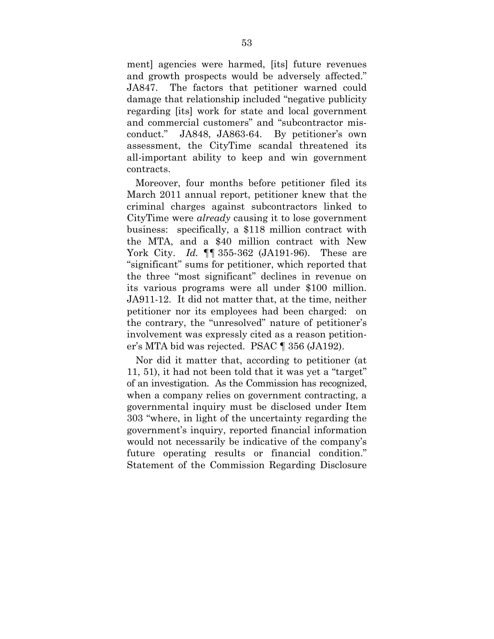ment] agencies were harmed, [its] future revenues and growth prospects would be adversely affected." JA847. The factors that petitioner warned could damage that relationship included "negative publicity regarding [its] work for state and local government and commercial customers" and "subcontractor misconduct." JA848, JA863-64. By petitioner's own assessment, the CityTime scandal threatened its all-important ability to keep and win government contracts.

Moreover, four months before petitioner filed its March 2011 annual report, petitioner knew that the criminal charges against subcontractors linked to CityTime were *already* causing it to lose government business: specifically, a \$118 million contract with the MTA, and a \$40 million contract with New York City. *Id.* ¶¶ 355-362 (JA191-96). These are "significant" sums for petitioner, which reported that the three "most significant" declines in revenue on its various programs were all under \$100 million. JA911-12. It did not matter that, at the time, neither petitioner nor its employees had been charged: on the contrary, the "unresolved" nature of petitioner's involvement was expressly cited as a reason petitioner's MTA bid was rejected. PSAC ¶ 356 (JA192).

Nor did it matter that, according to petitioner (at 11, 51), it had not been told that it was yet a "target" of an investigation. As the Commission has recognized, when a company relies on government contracting, a governmental inquiry must be disclosed under Item 303 "where, in light of the uncertainty regarding the government's inquiry, reported financial information would not necessarily be indicative of the company's future operating results or financial condition." Statement of the Commission Regarding Disclosure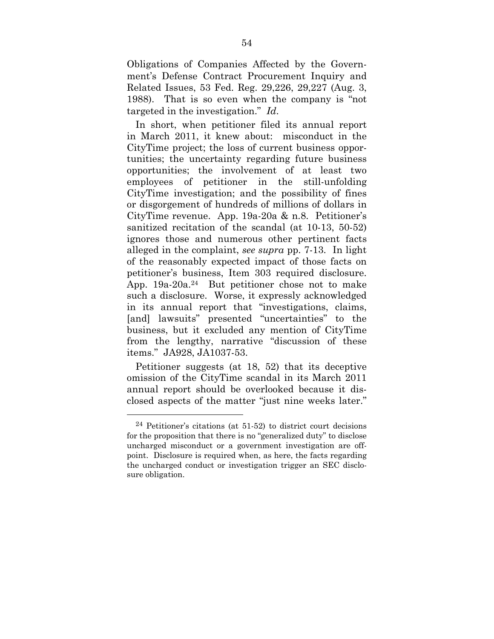Obligations of Companies Affected by the Government's Defense Contract Procurement Inquiry and Related Issues, 53 Fed. Reg. 29,226, 29,227 (Aug. 3, 1988). That is so even when the company is "not targeted in the investigation." *Id*.

In short, when petitioner filed its annual report in March 2011, it knew about: misconduct in the CityTime project; the loss of current business opportunities; the uncertainty regarding future business opportunities; the involvement of at least two employees of petitioner in the still-unfolding CityTime investigation; and the possibility of fines or disgorgement of hundreds of millions of dollars in CityTime revenue. App. 19a-20a & n.8. Petitioner's sanitized recitation of the scandal (at 10-13, 50-52) ignores those and numerous other pertinent facts alleged in the complaint, *see supra* pp. 7-13. In light of the reasonably expected impact of those facts on petitioner's business, Item 303 required disclosure. App. 19a-20a.24 But petitioner chose not to make such a disclosure. Worse, it expressly acknowledged in its annual report that "investigations, claims, [and] lawsuits" presented "uncertainties" to the business, but it excluded any mention of CityTime from the lengthy, narrative "discussion of these items." JA928, JA1037-53.

Petitioner suggests (at 18, 52) that its deceptive omission of the CityTime scandal in its March 2011 annual report should be overlooked because it disclosed aspects of the matter "just nine weeks later."

 $24$  Petitioner's citations (at 51-52) to district court decisions for the proposition that there is no "generalized duty" to disclose uncharged misconduct or a government investigation are offpoint. Disclosure is required when, as here, the facts regarding the uncharged conduct or investigation trigger an SEC disclosure obligation.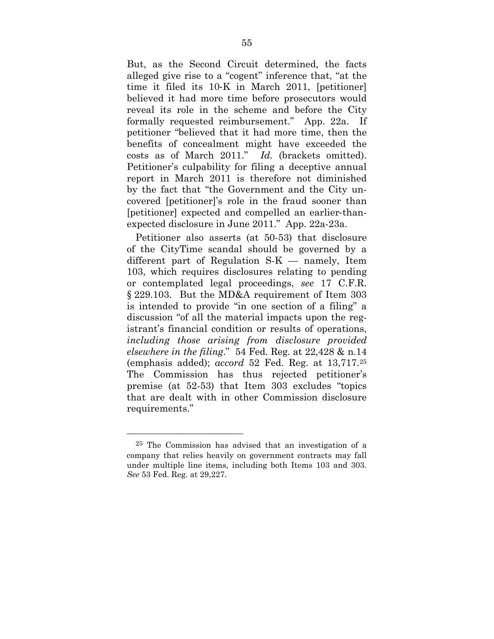But, as the Second Circuit determined, the facts alleged give rise to a "cogent" inference that, "at the time it filed its 10‐K in March 2011, [petitioner] believed it had more time before prosecutors would reveal its role in the scheme and before the City formally requested reimbursement." App. 22a. If petitioner "believed that it had more time, then the benefits of concealment might have exceeded the costs as of March 2011." *Id.* (brackets omitted). Petitioner's culpability for filing a deceptive annual report in March 2011 is therefore not diminished by the fact that "the Government and the City uncovered [petitioner]'s role in the fraud sooner than [petitioner] expected and compelled an earlier‐thanexpected disclosure in June 2011." App. 22a-23a.

Petitioner also asserts (at 50-53) that disclosure of the CityTime scandal should be governed by a different part of Regulation S-K — namely, Item 103, which requires disclosures relating to pending or contemplated legal proceedings, *see* 17 C.F.R. § 229.103. But the MD&A requirement of Item 303 is intended to provide "in one section of a filing" a discussion "of all the material impacts upon the registrant's financial condition or results of operations, *including those arising from disclosure provided elsewhere in the filing*." 54 Fed. Reg. at 22,428 & n.14 (emphasis added); *accord* 52 Fed. Reg. at 13,717.25 The Commission has thus rejected petitioner's premise (at 52-53) that Item 303 excludes "topics that are dealt with in other Commission disclosure requirements."

<sup>25</sup> The Commission has advised that an investigation of a company that relies heavily on government contracts may fall under multiple line items, including both Items 103 and 303. *See* 53 Fed. Reg. at 29,227.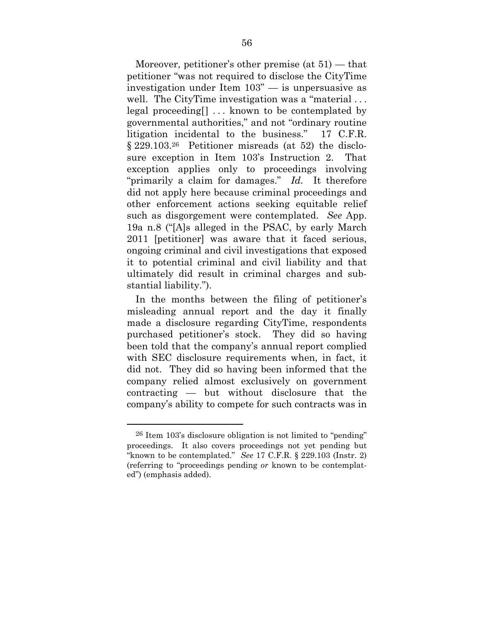Moreover, petitioner's other premise (at 51) — that petitioner "was not required to disclose the CityTime investigation under Item 103" — is unpersuasive as well. The CityTime investigation was a "material... legal proceeding[] ... known to be contemplated by governmental authorities," and not "ordinary routine litigation incidental to the business." 17 C.F.R. § 229.103.26 Petitioner misreads (at 52) the disclosure exception in Item 103's Instruction 2. That exception applies only to proceedings involving "primarily a claim for damages." *Id.* It therefore did not apply here because criminal proceedings and other enforcement actions seeking equitable relief such as disgorgement were contemplated. *See* App. 19a n.8 ("[A]s alleged in the PSAC, by early March 2011 [petitioner] was aware that it faced serious, ongoing criminal and civil investigations that exposed it to potential criminal and civil liability and that ultimately did result in criminal charges and substantial liability.").

In the months between the filing of petitioner's misleading annual report and the day it finally made a disclosure regarding CityTime, respondents purchased petitioner's stock. They did so having been told that the company's annual report complied with SEC disclosure requirements when, in fact, it did not. They did so having been informed that the company relied almost exclusively on government contracting — but without disclosure that the company's ability to compete for such contracts was in

<sup>26</sup> Item 103's disclosure obligation is not limited to "pending" proceedings. It also covers proceedings not yet pending but "known to be contemplated." *See* 17 C.F.R. § 229.103 (Instr. 2) (referring to "proceedings pending *or* known to be contemplated") (emphasis added).